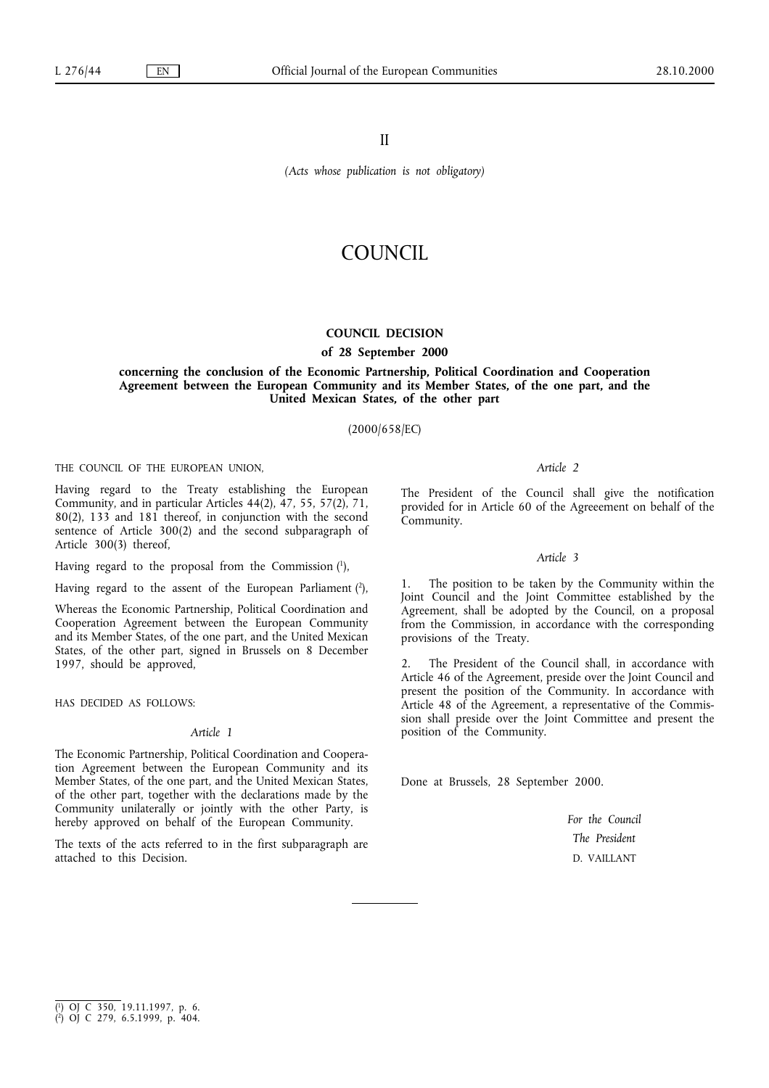II

*(Acts whose publication is not obligatory)*

# COUNCIL

# **COUNCIL DECISION**

#### **of 28 September 2000**

**concerning the conclusion of the Economic Partnership, Political Coordination and Cooperation** Agreement between the European Community and its Member States, of the one part, and the United Mexican States, of the other part

(2000/658/EC)

THE COUNCIL OF THE EUROPEAN UNION,

Having regard to the Treaty establishing the European Community, and in particular Articles 44(2), 47, 55, 57(2), 71, 80(2), 133 and 181 thereof, in conjunction with the second sentence of Article 300(2) and the second subparagraph of Article 300(3) thereof,

Having regard to the proposal from the Commission  $(1)$ ,

Having regard to the assent of the European Parliament  $(2)$ ,

Whereas the Economic Partnership, Political Coordination and Cooperation Agreement between the European Community and its Member States, of the one part, and the United Mexican States, of the other part, signed in Brussels on 8 December 1997, should be approved,

HAS DECIDED AS FOLLOWS:

### *Article 1*

The Economic Partnership, Political Coordination and Cooperation Agreement between the European Community and its Member States, of the one part, and the United Mexican States, of the other part, together with the declarations made by the Community unilaterally or jointly with the other Party, is hereby approved on behalf of the European Community.

The texts of the acts referred to in the first subparagraph are attached to this Decision.

#### *Article 2*

The President of the Council shall give the notification provided for in Article 60 of the Agreeement on behalf of the Community.

#### *Article 3*

The position to be taken by the Community within the Joint Council and the Joint Committee established by the Agreement, shall be adopted by the Council, on a proposal from the Commission, in accordance with the corresponding provisions of the Treaty.

The President of the Council shall, in accordance with Article 46 of the Agreement, preside over the Joint Council and present the position of the Community. In accordance with Article 48 of the Agreement, a representative of the Commission shall preside over the Joint Committee and present the position of the Community.

Done at Brussels, 28 September 2000.

*For the Council The President* D. VAILLANT

<sup>(</sup> 1) OJ C 350, 19.11.1997, p. 6.

<sup>(</sup> 2) OJ C 279, 6.5.1999, p. 404.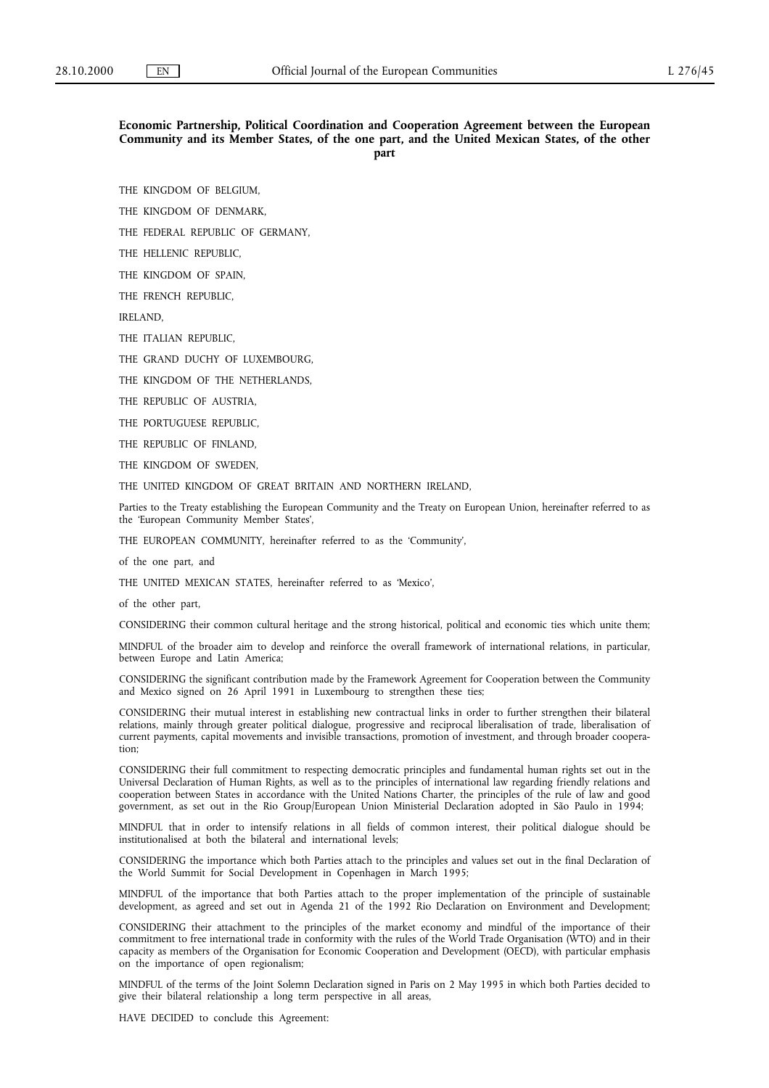#### **Economic Partnership, Political Coordination and Cooperation Agreement between the European Community and its Member States, of the one part, and the United Mexican States, of the other part**

THE KINGDOM OF BELGIUM,

THE KINGDOM OF DENMARK,

THE FEDERAL REPUBLIC OF GERMANY,

THE HELLENIC REPUBLIC,

THE KINGDOM OF SPAIN,

THE FRENCH REPUBLIC,

IRELAND,

THE ITALIAN REPUBLIC,

THE GRAND DUCHY OF LUXEMBOURG,

THE KINGDOM OF THE NETHERLANDS,

THE REPUBLIC OF AUSTRIA,

THE PORTUGUESE REPUBLIC,

THE REPUBLIC OF FINLAND,

THE KINGDOM OF SWEDEN,

THE UNITED KINGDOM OF GREAT BRITAIN AND NORTHERN IRELAND,

Parties to the Treaty establishing the European Community and the Treaty on European Union, hereinafter referred to as the 'European Community Member States',

THE EUROPEAN COMMUNITY, hereinafter referred to as the 'Community',

of the one part, and

THE UNITED MEXICAN STATES, hereinafter referred to as 'Mexico',

of the other part,

CONSIDERING their common cultural heritage and the strong historical, political and economic ties which unite them;

MINDFUL of the broader aim to develop and reinforce the overall framework of international relations, in particular, between Europe and Latin America;

CONSIDERING the significant contribution made by the Framework Agreement for Cooperation between the Community and Mexico signed on 26 April 1991 in Luxembourg to strengthen these ties;

CONSIDERING their mutual interest in establishing new contractual links in order to further strengthen their bilateral relations, mainly through greater political dialogue, progressive and reciprocal liberalisation of trade, liberalisation of current payments, capital movements and invisible transactions, promotion of investment, and through broader cooperation;

CONSIDERING their full commitment to respecting democratic principles and fundamental human rights set out in the Universal Declaration of Human Rights, as well as to the principles of international law regarding friendly relations and cooperation between States in accordance with the United Nations Charter, the principles of the rule of law and good government, as set out in the Rio Group/European Union Ministerial Declaration adopted in São Paulo in 1994;

MINDFUL that in order to intensify relations in all fields of common interest, their political dialogue should be institutionalised at both the bilateral and international levels;

CONSIDERING the importance which both Parties attach to the principles and values set out in the final Declaration of the World Summit for Social Development in Copenhagen in March 1995;

MINDFUL of the importance that both Parties attach to the proper implementation of the principle of sustainable development, as agreed and set out in Agenda 21 of the 1992 Rio Declaration on Environment and Development;

CONSIDERING their attachment to the principles of the market economy and mindful of the importance of their commitment to free international trade in conformity with the rules of the World Trade Organisation (WTO) and in their capacity as members of the Organisation for Economic Cooperation and Development (OECD), with particular emphasis on the importance of open regionalism;

MINDFUL of the terms of the Joint Solemn Declaration signed in Paris on 2 May 1995 in which both Parties decided to give their bilateral relationship a long term perspective in all areas,

HAVE DECIDED to conclude this Agreement: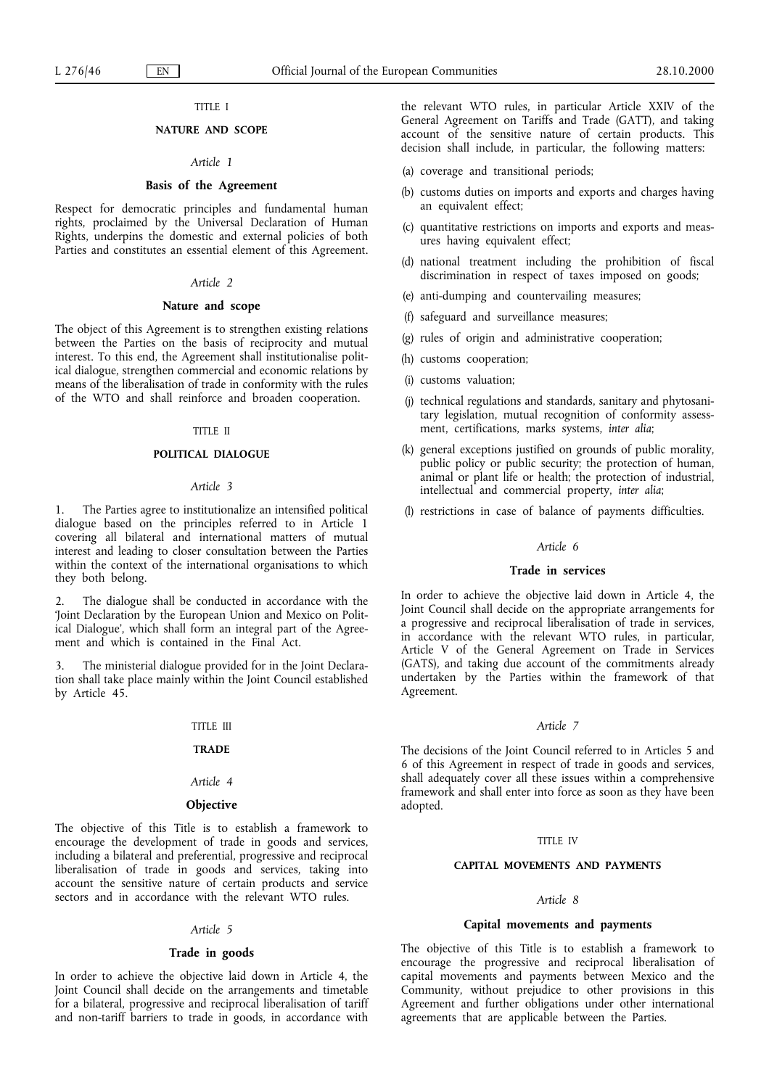# TITLE I

### **NATURE AND SCOPE**

#### *Article 1*

### **Basis of the Agreement**

Respect for democratic principles and fundamental human rights, proclaimed by the Universal Declaration of Human Rights, underpins the domestic and external policies of both Parties and constitutes an essential element of this Agreement.

#### *Article 2*

#### **Nature and scope**

The object of this Agreement is to strengthen existing relations between the Parties on the basis of reciprocity and mutual interest. To this end, the Agreement shall institutionalise political dialogue, strengthen commercial and economic relations by means of the liberalisation of trade in conformity with the rules of the WTO and shall reinforce and broaden cooperation.

#### TITLE II

### **POLITICAL DIALOGUE**

### *Article 3*

1. The Parties agree to institutionalize an intensified political dialogue based on the principles referred to in Article 1 covering all bilateral and international matters of mutual interest and leading to closer consultation between the Parties within the context of the international organisations to which they both belong.

The dialogue shall be conducted in accordance with the 'Joint Declaration by the European Union and Mexico on Political Dialogue', which shall form an integral part of the Agreement and which is contained in the Final Act.

The ministerial dialogue provided for in the Joint Declaration shall take place mainly within the Joint Council established by Article 45.

### TITLE III

#### **TRADE**

#### *Article 4*

#### **Objective**

The objective of this Title is to establish a framework to encourage the development of trade in goods and services, including a bilateral and preferential, progressive and reciprocal liberalisation of trade in goods and services, taking into account the sensitive nature of certain products and service sectors and in accordance with the relevant WTO rules.

#### *Article 5*

### **Trade in goods**

In order to achieve the objective laid down in Article 4, the Joint Council shall decide on the arrangements and timetable for a bilateral, progressive and reciprocal liberalisation of tariff and non-tariff barriers to trade in goods, in accordance with

the relevant WTO rules, in particular Article XXIV of the General Agreement on Tariffs and Trade (GATT), and taking account of the sensitive nature of certain products. This decision shall include, in particular, the following matters:

- (a) coverage and transitional periods;
- (b) customs duties on imports and exports and charges having an equivalent effect;
- (c) quantitative restrictions on imports and exports and measures having equivalent effect;
- (d) national treatment including the prohibition of fiscal discrimination in respect of taxes imposed on goods;
- (e) anti-dumping and countervailing measures;
- (f) safeguard and surveillance measures;
- (g) rules of origin and administrative cooperation;
- (h) customs cooperation;
- (i) customs valuation;
- (j) technical regulations and standards, sanitary and phytosanitary legislation, mutual recognition of conformity assessment, certifications, marks systems, *inter alia*;
- (k) general exceptions justified on grounds of public morality, public policy or public security; the protection of human, animal or plant life or health; the protection of industrial, intellectual and commercial property, *inter alia*;
- (l) restrictions in case of balance of payments difficulties.

#### *Article 6*

### **Trade in services**

In order to achieve the objective laid down in Article 4, the Joint Council shall decide on the appropriate arrangements for a progressive and reciprocal liberalisation of trade in services, in accordance with the relevant WTO rules, in particular, Article V of the General Agreement on Trade in Services (GATS), and taking due account of the commitments already undertaken by the Parties within the framework of that Agreement.

# *Article 7*

The decisions of the Joint Council referred to in Articles 5 and 6 of this Agreement in respect of trade in goods and services, shall adequately cover all these issues within a comprehensive framework and shall enter into force as soon as they have been adopted.

#### TITLE IV

#### **CAPITAL MOVEMENTS AND PAYMENTS**

### *Article 8*

#### **Capital movements and payments**

The objective of this Title is to establish a framework to encourage the progressive and reciprocal liberalisation of capital movements and payments between Mexico and the Community, without prejudice to other provisions in this Agreement and further obligations under other international agreements that are applicable between the Parties.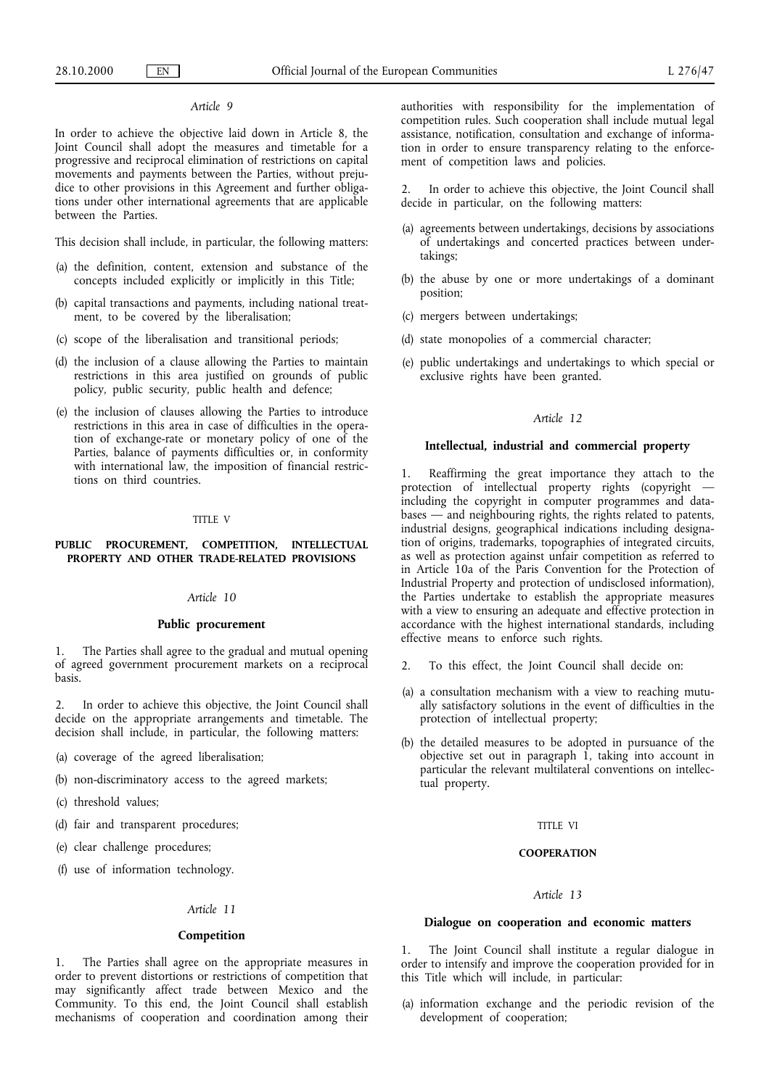# *Article 9*

In order to achieve the objective laid down in Article 8, the Joint Council shall adopt the measures and timetable for a progressive and reciprocal elimination of restrictions on capital movements and payments between the Parties, without prejudice to other provisions in this Agreement and further obligations under other international agreements that are applicable between the Parties.

This decision shall include, in particular, the following matters:

- (a) the definition, content, extension and substance of the concepts included explicitly or implicitly in this Title;
- (b) capital transactions and payments, including national treatment, to be covered by the liberalisation;
- (c) scope of the liberalisation and transitional periods;
- (d) the inclusion of a clause allowing the Parties to maintain restrictions in this area justified on grounds of public policy, public security, public health and defence;
- (e) the inclusion of clauses allowing the Parties to introduce restrictions in this area in case of difficulties in the operation of exchange-rate or monetary policy of one of the Parties, balance of payments difficulties or, in conformity with international law, the imposition of financial restrictions on third countries.

#### TITLE V

### **PUBLIC PROCUREMENT, COMPETITION, INTELLECTUAL PROPERTY AND OTHER TRADE-RELATED PROVISIONS**

#### *Article 10*

### **Public procurement**

The Parties shall agree to the gradual and mutual opening of agreed government procurement markets on a reciprocal basis.

2. In order to achieve this objective, the Joint Council shall decide on the appropriate arrangements and timetable. The decision shall include, in particular, the following matters:

- (a) coverage of the agreed liberalisation;
- (b) non-discriminatory access to the agreed markets;
- (c) threshold values;
- (d) fair and transparent procedures;
- (e) clear challenge procedures;
- (f) use of information technology.

#### *Article 11*

#### **Competition**

1. The Parties shall agree on the appropriate measures in order to prevent distortions or restrictions of competition that may significantly affect trade between Mexico and the Community. To this end, the Joint Council shall establish mechanisms of cooperation and coordination among their

authorities with responsibility for the implementation of competition rules. Such cooperation shall include mutual legal assistance, notification, consultation and exchange of information in order to ensure transparency relating to the enforcement of competition laws and policies.

2. In order to achieve this objective, the Joint Council shall decide in particular, on the following matters:

- (a) agreements between undertakings, decisions by associations of undertakings and concerted practices between undertakings;
- (b) the abuse by one or more undertakings of a dominant position;
- (c) mergers between undertakings;
- (d) state monopolies of a commercial character;
- (e) public undertakings and undertakings to which special or exclusive rights have been granted.

### *Article 12*

### **Intellectual, industrial and commercial property**

1. Reaffirming the great importance they attach to the protection of intellectual property rights (copyright including the copyright in computer programmes and databases — and neighbouring rights, the rights related to patents, industrial designs, geographical indications including designation of origins, trademarks, topographies of integrated circuits, as well as protection against unfair competition as referred to in Article 10a of the Paris Convention for the Protection of Industrial Property and protection of undisclosed information), the Parties undertake to establish the appropriate measures with a view to ensuring an adequate and effective protection in accordance with the highest international standards, including effective means to enforce such rights.

- 2. To this effect, the Joint Council shall decide on:
- (a) a consultation mechanism with a view to reaching mutually satisfactory solutions in the event of difficulties in the protection of intellectual property;
- (b) the detailed measures to be adopted in pursuance of the objective set out in paragraph 1, taking into account in particular the relevant multilateral conventions on intellectual property.

#### TITLE VI

#### **COOPERATION**

#### *Article 13*

### **Dialogue on cooperation and economic matters**

1. The Joint Council shall institute a regular dialogue in order to intensify and improve the cooperation provided for in this Title which will include, in particular:

(a) information exchange and the periodic revision of the development of cooperation;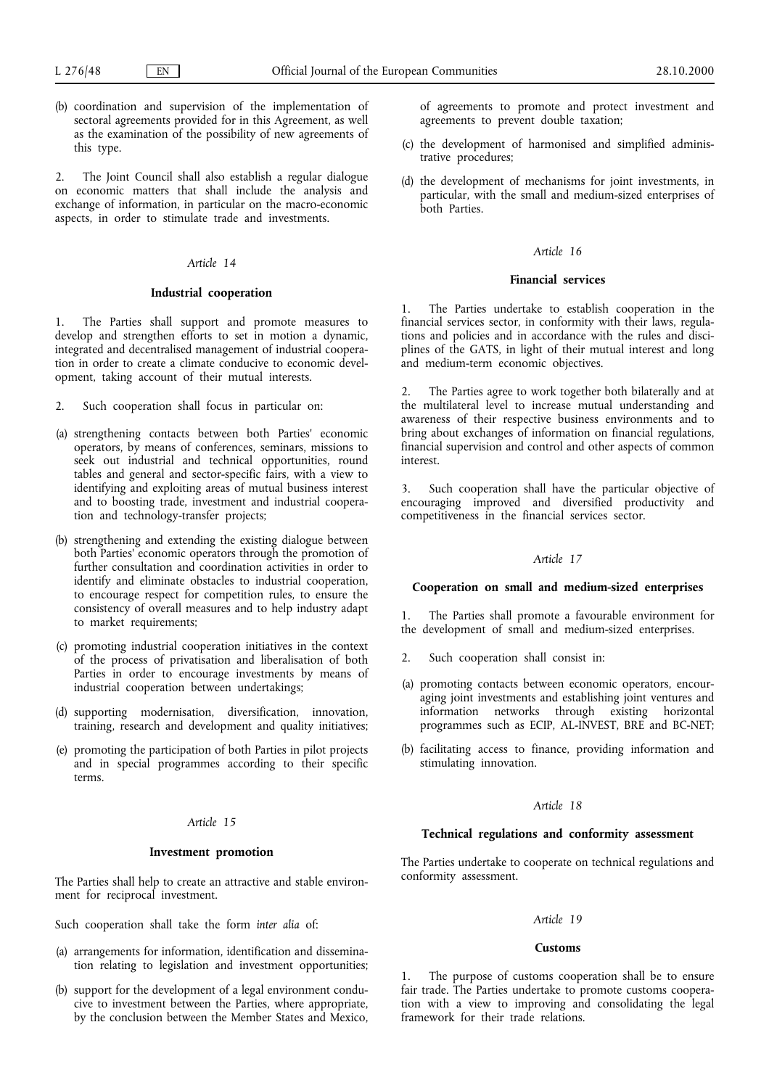(b) coordination and supervision of the implementation of sectoral agreements provided for in this Agreement, as well as the examination of the possibility of new agreements of this type.

2. The Joint Council shall also establish a regular dialogue on economic matters that shall include the analysis and exchange of information, in particular on the macro-economic aspects, in order to stimulate trade and investments.

### *Article 14*

#### **Industrial cooperation**

The Parties shall support and promote measures to develop and strengthen efforts to set in motion a dynamic, integrated and decentralised management of industrial cooperation in order to create a climate conducive to economic development, taking account of their mutual interests.

2. Such cooperation shall focus in particular on:

- (a) strengthening contacts between both Parties' economic operators, by means of conferences, seminars, missions to seek out industrial and technical opportunities, round tables and general and sector-specific fairs, with a view to identifying and exploiting areas of mutual business interest and to boosting trade, investment and industrial cooperation and technology-transfer projects;
- (b) strengthening and extending the existing dialogue between both Parties' economic operators through the promotion of further consultation and coordination activities in order to identify and eliminate obstacles to industrial cooperation, to encourage respect for competition rules, to ensure the consistency of overall measures and to help industry adapt to market requirements;
- (c) promoting industrial cooperation initiatives in the context of the process of privatisation and liberalisation of both Parties in order to encourage investments by means of industrial cooperation between undertakings;
- (d) supporting modernisation, diversification, innovation, training, research and development and quality initiatives;
- (e) promoting the participation of both Parties in pilot projects and in special programmes according to their specific terms.

#### *Article 15*

#### **Investment promotion**

The Parties shall help to create an attractive and stable environment for reciprocal investment.

Such cooperation shall take the form *inter alia* of:

- (a) arrangements for information, identification and dissemination relating to legislation and investment opportunities;
- (b) support for the development of a legal environment conducive to investment between the Parties, where appropriate, by the conclusion between the Member States and Mexico,

of agreements to promote and protect investment and agreements to prevent double taxation;

- (c) the development of harmonised and simplified administrative procedures;
- (d) the development of mechanisms for joint investments, in particular, with the small and medium-sized enterprises of both Parties.

### *Article 16*

### **Financial services**

1. The Parties undertake to establish cooperation in the financial services sector, in conformity with their laws, regulations and policies and in accordance with the rules and disciplines of the GATS, in light of their mutual interest and long and medium-term economic objectives.

2. The Parties agree to work together both bilaterally and at the multilateral level to increase mutual understanding and awareness of their respective business environments and to bring about exchanges of information on financial regulations, financial supervision and control and other aspects of common interest.

3. Such cooperation shall have the particular objective of encouraging improved and diversified productivity and competitiveness in the financial services sector.

### *Article 17*

#### **Cooperation on small and medium-sized enterprises**

1. The Parties shall promote a favourable environment for the development of small and medium-sized enterprises.

- 2. Such cooperation shall consist in:
- (a) promoting contacts between economic operators, encouraging joint investments and establishing joint ventures and information networks through existing horizontal programmes such as ECIP, AL-INVEST, BRE and BC-NET;
- (b) facilitating access to finance, providing information and stimulating innovation.

#### *Article 18*

### **Technical regulations and conformity assessment**

The Parties undertake to cooperate on technical regulations and conformity assessment.

# *Article 19*

#### **Customs**

1. The purpose of customs cooperation shall be to ensure fair trade. The Parties undertake to promote customs cooperation with a view to improving and consolidating the legal framework for their trade relations.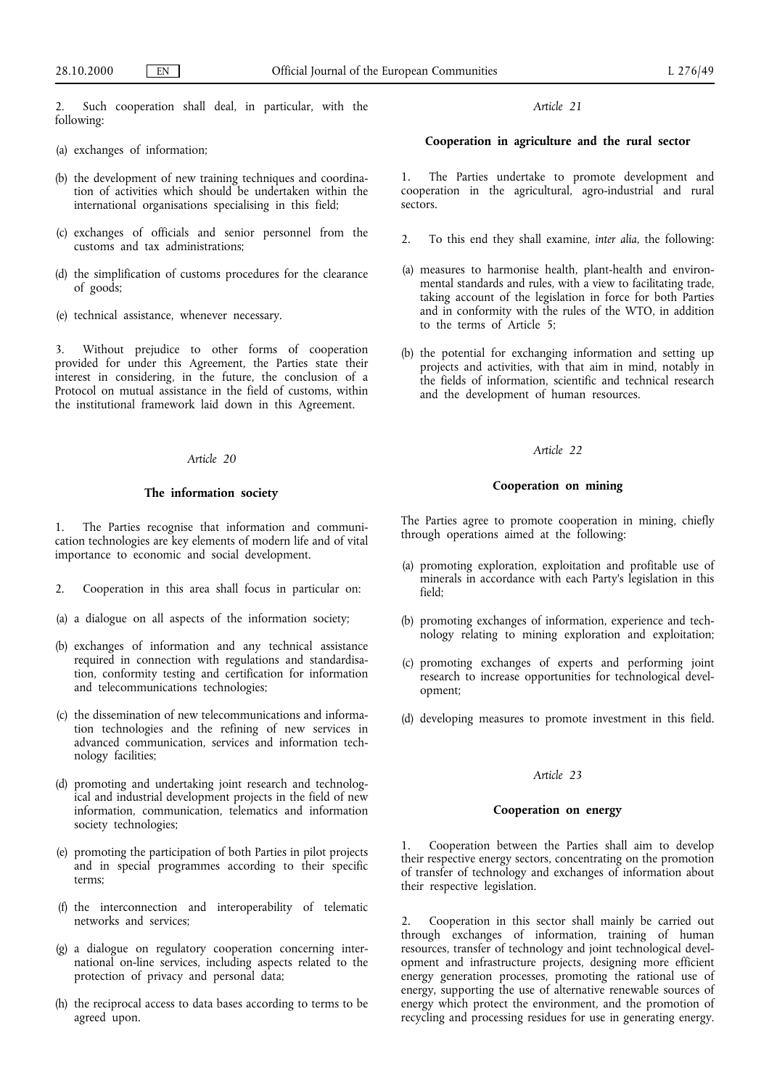2. Such cooperation shall deal, in particular, with the following:

- (a) exchanges of information;
- (b) the development of new training techniques and coordination of activities which should be undertaken within the international organisations specialising in this field;
- (c) exchanges of officials and senior personnel from the customs and tax administrations;
- (d) the simplification of customs procedures for the clearance of goods;
- (e) technical assistance, whenever necessary.

3. Without prejudice to other forms of cooperation provided for under this Agreement, the Parties state their interest in considering, in the future, the conclusion of a Protocol on mutual assistance in the field of customs, within the institutional framework laid down in this Agreement.

# *Article 20*

### **The information society**

1. The Parties recognise that information and communication technologies are key elements of modern life and of vital importance to economic and social development.

- 2. Cooperation in this area shall focus in particular on:
- (a) a dialogue on all aspects of the information society;
- (b) exchanges of information and any technical assistance required in connection with regulations and standardisation, conformity testing and certification for information and telecommunications technologies;
- (c) the dissemination of new telecommunications and information technologies and the refining of new services in advanced communication, services and information technology facilities;
- (d) promoting and undertaking joint research and technological and industrial development projects in the field of new information, communication, telematics and information society technologies;
- (e) promoting the participation of both Parties in pilot projects and in special programmes according to their specific terms;
- (f) the interconnection and interoperability of telematic networks and services;
- (g) a dialogue on regulatory cooperation concerning international on-line services, including aspects related to the protection of privacy and personal data;
- (h) the reciprocal access to data bases according to terms to be agreed upon.

# *Article 21*

# **Cooperation in agriculture and the rural sector**

1. The Parties undertake to promote development and cooperation in the agricultural, agro-industrial and rural sectors.

- 2. To this end they shall examine, *inter alia*, the following:
- (a) measures to harmonise health, plant-health and environmental standards and rules, with a view to facilitating trade, taking account of the legislation in force for both Parties and in conformity with the rules of the WTO, in addition to the terms of Article 5;
- (b) the potential for exchanging information and setting up projects and activities, with that aim in mind, notably in the fields of information, scientific and technical research and the development of human resources.

#### *Article 22*

#### **Cooperation on mining**

The Parties agree to promote cooperation in mining, chiefly through operations aimed at the following:

- (a) promoting exploration, exploitation and profitable use of minerals in accordance with each Party's legislation in this field;
- (b) promoting exchanges of information, experience and technology relating to mining exploration and exploitation;
- (c) promoting exchanges of experts and performing joint research to increase opportunities for technological development;
- (d) developing measures to promote investment in this field.

#### *Article 23*

#### **Cooperation on energy**

1. Cooperation between the Parties shall aim to develop their respective energy sectors, concentrating on the promotion of transfer of technology and exchanges of information about their respective legislation.

2. Cooperation in this sector shall mainly be carried out through exchanges of information, training of human resources, transfer of technology and joint technological development and infrastructure projects, designing more efficient energy generation processes, promoting the rational use of energy, supporting the use of alternative renewable sources of energy which protect the environment, and the promotion of recycling and processing residues for use in generating energy.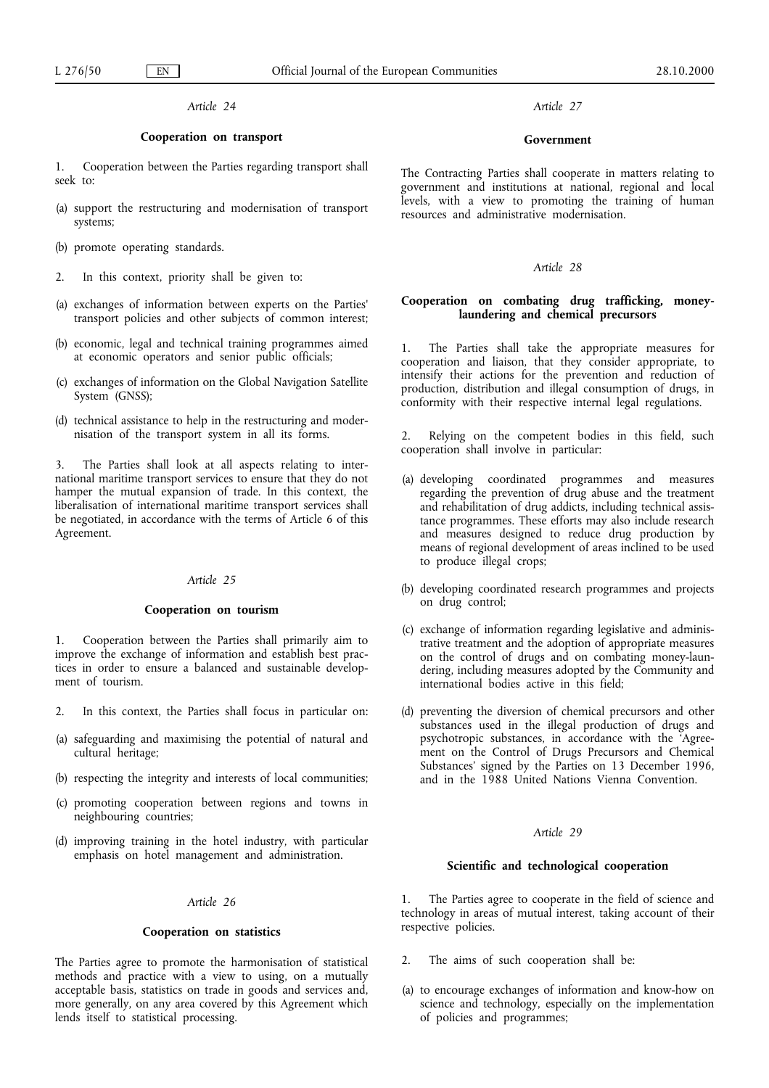# *Article 24*

#### **Cooperation on transport**

1. Cooperation between the Parties regarding transport shall seek to:

- (a) support the restructuring and modernisation of transport systems;
- (b) promote operating standards.
- 2. In this context, priority shall be given to:
- (a) exchanges of information between experts on the Parties' transport policies and other subjects of common interest;
- (b) economic, legal and technical training programmes aimed at economic operators and senior public officials;
- (c) exchanges of information on the Global Navigation Satellite System (GNSS);
- (d) technical assistance to help in the restructuring and modernisation of the transport system in all its forms.

3. The Parties shall look at all aspects relating to international maritime transport services to ensure that they do not hamper the mutual expansion of trade. In this context, the liberalisation of international maritime transport services shall be negotiated, in accordance with the terms of Article 6 of this Agreement.

#### *Article 25*

#### **Cooperation on tourism**

1. Cooperation between the Parties shall primarily aim to improve the exchange of information and establish best practices in order to ensure a balanced and sustainable development of tourism.

- 2. In this context, the Parties shall focus in particular on:
- (a) safeguarding and maximising the potential of natural and cultural heritage;
- (b) respecting the integrity and interests of local communities;
- (c) promoting cooperation between regions and towns in neighbouring countries;
- (d) improving training in the hotel industry, with particular emphasis on hotel management and administration.

#### *Article 26*

#### **Cooperation on statistics**

The Parties agree to promote the harmonisation of statistical methods and practice with a view to using, on a mutually acceptable basis, statistics on trade in goods and services and, more generally, on any area covered by this Agreement which lends itself to statistical processing.

*Article 27*

#### **Government**

The Contracting Parties shall cooperate in matters relating to government and institutions at national, regional and local levels, with a view to promoting the training of human resources and administrative modernisation.

# *Article 28*

### **Cooperation on combating drug trafficking, moneylaundering and chemical precursors**

1. The Parties shall take the appropriate measures for cooperation and liaison, that they consider appropriate, to intensify their actions for the prevention and reduction of production, distribution and illegal consumption of drugs, in conformity with their respective internal legal regulations.

2. Relying on the competent bodies in this field, such cooperation shall involve in particular:

- (a) developing coordinated programmes and measures regarding the prevention of drug abuse and the treatment and rehabilitation of drug addicts, including technical assistance programmes. These efforts may also include research and measures designed to reduce drug production by means of regional development of areas inclined to be used to produce illegal crops;
- (b) developing coordinated research programmes and projects on drug control;
- (c) exchange of information regarding legislative and administrative treatment and the adoption of appropriate measures on the control of drugs and on combating money-laundering, including measures adopted by the Community and international bodies active in this field;
- (d) preventing the diversion of chemical precursors and other substances used in the illegal production of drugs and psychotropic substances, in accordance with the 'Agreement on the Control of Drugs Precursors and Chemical Substances' signed by the Parties on 13 December 1996, and in the 1988 United Nations Vienna Convention.

#### *Article 29*

#### **Scientific and technological cooperation**

1. The Parties agree to cooperate in the field of science and technology in areas of mutual interest, taking account of their respective policies.

- 2. The aims of such cooperation shall be:
- (a) to encourage exchanges of information and know-how on science and technology, especially on the implementation of policies and programmes;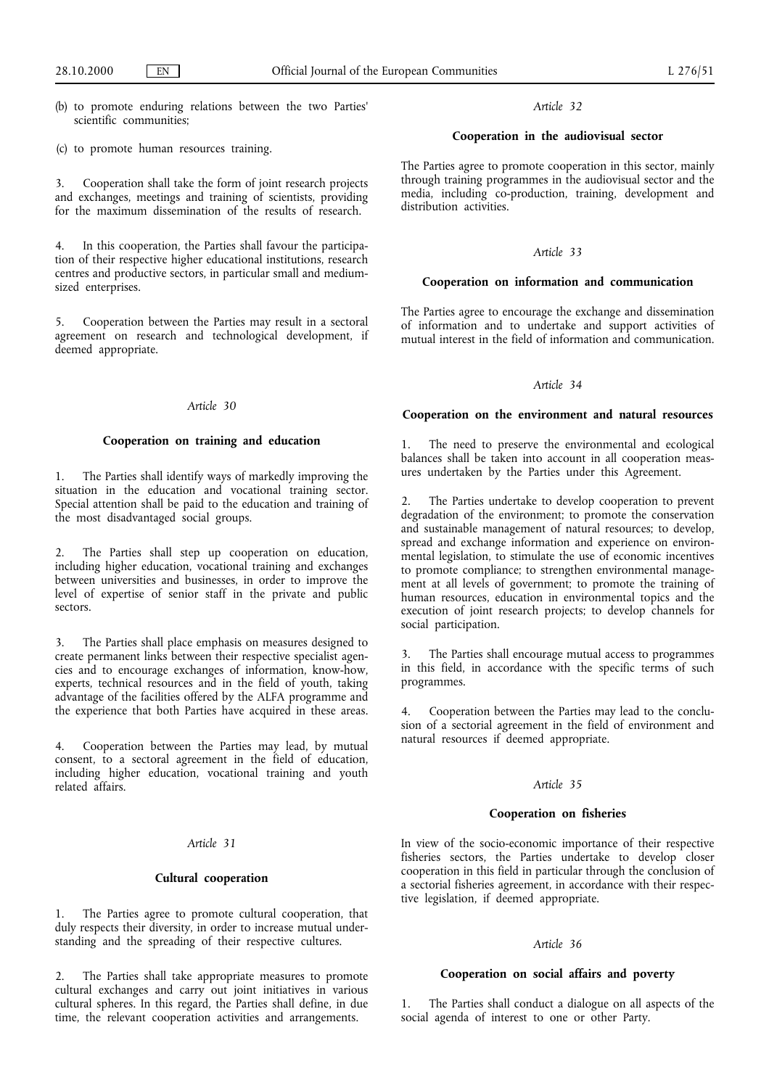- (b) to promote enduring relations between the two Parties' scientific communities:
- (c) to promote human resources training.

3. Cooperation shall take the form of joint research projects and exchanges, meetings and training of scientists, providing for the maximum dissemination of the results of research.

4. In this cooperation, the Parties shall favour the participation of their respective higher educational institutions, research centres and productive sectors, in particular small and mediumsized enterprises.

5. Cooperation between the Parties may result in a sectoral agreement on research and technological development, if deemed appropriate.

#### *Article 30*

#### **Cooperation on training and education**

1. The Parties shall identify ways of markedly improving the situation in the education and vocational training sector. Special attention shall be paid to the education and training of the most disadvantaged social groups.

2. The Parties shall step up cooperation on education, including higher education, vocational training and exchanges between universities and businesses, in order to improve the level of expertise of senior staff in the private and public sectors.

3. The Parties shall place emphasis on measures designed to create permanent links between their respective specialist agencies and to encourage exchanges of information, know-how, experts, technical resources and in the field of youth, taking advantage of the facilities offered by the ALFA programme and the experience that both Parties have acquired in these areas.

Cooperation between the Parties may lead, by mutual consent, to a sectoral agreement in the field of education, including higher education, vocational training and youth related affairs.

#### *Article 31*

#### **Cultural cooperation**

1. The Parties agree to promote cultural cooperation, that duly respects their diversity, in order to increase mutual understanding and the spreading of their respective cultures.

2. The Parties shall take appropriate measures to promote cultural exchanges and carry out joint initiatives in various cultural spheres. In this regard, the Parties shall define, in due time, the relevant cooperation activities and arrangements.

### *Article 32*

#### **Cooperation in the audiovisual sector**

The Parties agree to promote cooperation in this sector, mainly through training programmes in the audiovisual sector and the media, including co-production, training, development and distribution activities.

#### *Article 33*

#### **Cooperation on information and communication**

The Parties agree to encourage the exchange and dissemination of information and to undertake and support activities of mutual interest in the field of information and communication.

#### *Article 34*

### **Cooperation on the environment and natural resources**

1. The need to preserve the environmental and ecological balances shall be taken into account in all cooperation measures undertaken by the Parties under this Agreement.

2. The Parties undertake to develop cooperation to prevent degradation of the environment; to promote the conservation and sustainable management of natural resources; to develop, spread and exchange information and experience on environmental legislation, to stimulate the use of economic incentives to promote compliance; to strengthen environmental management at all levels of government; to promote the training of human resources, education in environmental topics and the execution of joint research projects; to develop channels for social participation.

3. The Parties shall encourage mutual access to programmes in this field, in accordance with the specific terms of such programmes.

4. Cooperation between the Parties may lead to the conclusion of a sectorial agreement in the field of environment and natural resources if deemed appropriate.

### *Article 35*

#### **Cooperation on fisheries**

In view of the socio-economic importance of their respective fisheries sectors, the Parties undertake to develop closer cooperation in this field in particular through the conclusion of a sectorial fisheries agreement, in accordance with their respective legislation, if deemed appropriate.

### *Article 36*

#### **Cooperation on social affairs and poverty**

1. The Parties shall conduct a dialogue on all aspects of the social agenda of interest to one or other Party.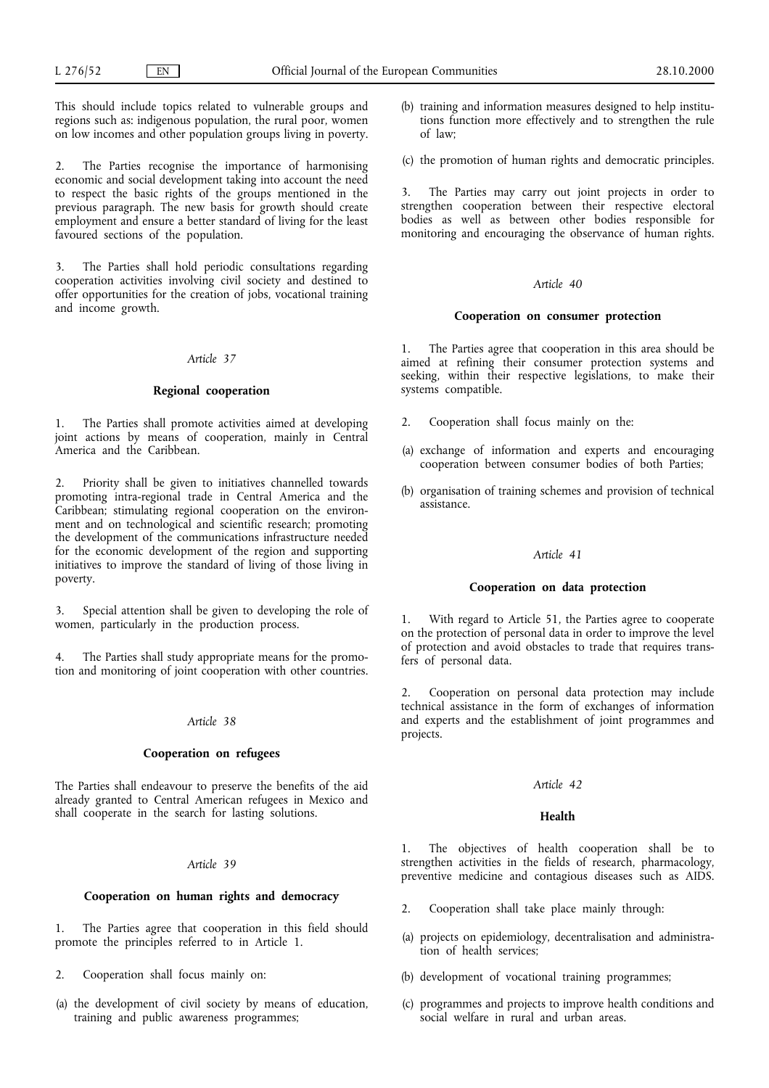This should include topics related to vulnerable groups and regions such as: indigenous population, the rural poor, women on low incomes and other population groups living in poverty.

2. The Parties recognise the importance of harmonising economic and social development taking into account the need to respect the basic rights of the groups mentioned in the previous paragraph. The new basis for growth should create employment and ensure a better standard of living for the least favoured sections of the population.

The Parties shall hold periodic consultations regarding cooperation activities involving civil society and destined to offer opportunities for the creation of jobs, vocational training and income growth.

### *Article 37*

### **Regional cooperation**

1. The Parties shall promote activities aimed at developing joint actions by means of cooperation, mainly in Central America and the Caribbean.

2. Priority shall be given to initiatives channelled towards promoting intra-regional trade in Central America and the Caribbean; stimulating regional cooperation on the environment and on technological and scientific research; promoting the development of the communications infrastructure needed for the economic development of the region and supporting initiatives to improve the standard of living of those living in poverty.

3. Special attention shall be given to developing the role of women, particularly in the production process.

The Parties shall study appropriate means for the promotion and monitoring of joint cooperation with other countries.

#### *Article 38*

### **Cooperation on refugees**

The Parties shall endeavour to preserve the benefits of the aid already granted to Central American refugees in Mexico and shall cooperate in the search for lasting solutions.

### *Article 39*

### **Cooperation on human rights and democracy**

1. The Parties agree that cooperation in this field should promote the principles referred to in Article 1.

- 2. Cooperation shall focus mainly on:
- (a) the development of civil society by means of education, training and public awareness programmes;
- (b) training and information measures designed to help institutions function more effectively and to strengthen the rule of law;
- (c) the promotion of human rights and democratic principles.

3. The Parties may carry out joint projects in order to strengthen cooperation between their respective electoral bodies as well as between other bodies responsible for monitoring and encouraging the observance of human rights.

#### *Article 40*

#### **Cooperation on consumer protection**

1. The Parties agree that cooperation in this area should be aimed at refining their consumer protection systems and seeking, within their respective legislations, to make their systems compatible.

- 2. Cooperation shall focus mainly on the:
- (a) exchange of information and experts and encouraging cooperation between consumer bodies of both Parties;
- (b) organisation of training schemes and provision of technical assistance.

#### *Article 41*

#### **Cooperation on data protection**

1. With regard to Article 51, the Parties agree to cooperate on the protection of personal data in order to improve the level of protection and avoid obstacles to trade that requires transfers of personal data.

2. Cooperation on personal data protection may include technical assistance in the form of exchanges of information and experts and the establishment of joint programmes and projects.

### *Article 42*

#### **Health**

1. The objectives of health cooperation shall be to strengthen activities in the fields of research, pharmacology, preventive medicine and contagious diseases such as AIDS.

- 2. Cooperation shall take place mainly through:
- (a) projects on epidemiology, decentralisation and administration of health services;
- (b) development of vocational training programmes;
- (c) programmes and projects to improve health conditions and social welfare in rural and urban areas.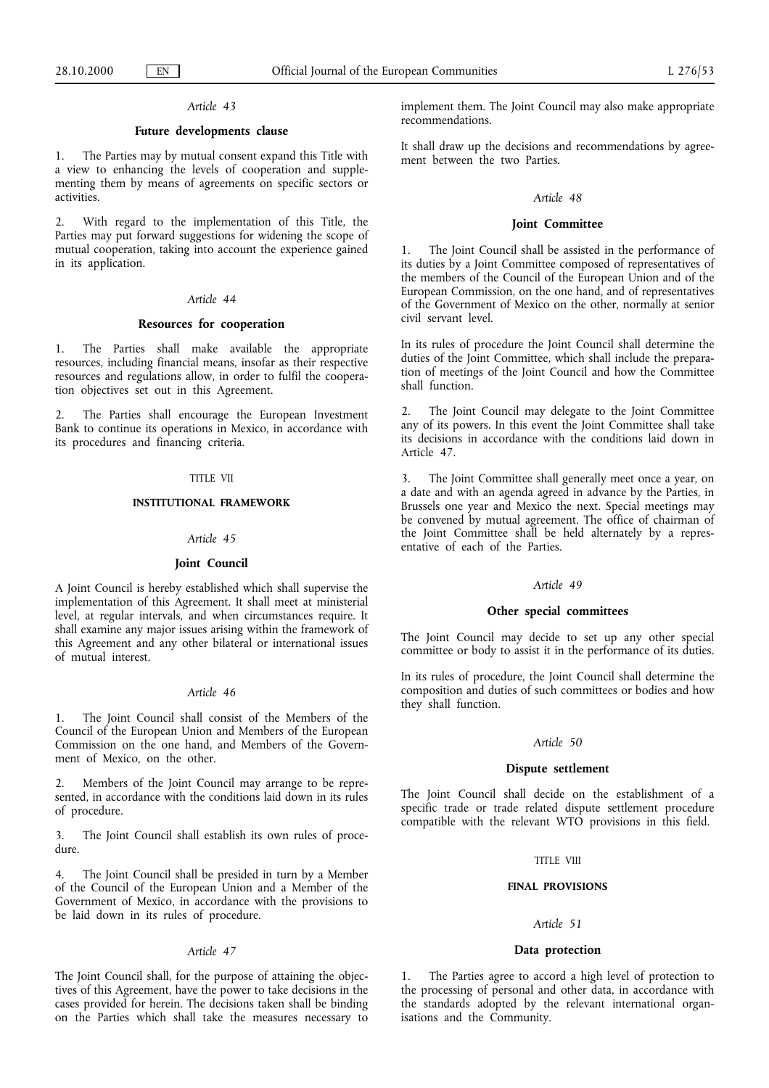# *Article 43*

### **Future developments clause**

1. The Parties may by mutual consent expand this Title with a view to enhancing the levels of cooperation and supplementing them by means of agreements on specific sectors or activities.

2. With regard to the implementation of this Title, the Parties may put forward suggestions for widening the scope of mutual cooperation, taking into account the experience gained in its application.

### *Article 44*

### **Resources for cooperation**

1. The Parties shall make available the appropriate resources, including financial means, insofar as their respective resources and regulations allow, in order to fulfil the cooperation objectives set out in this Agreement.

2. The Parties shall encourage the European Investment Bank to continue its operations in Mexico, in accordance with its procedures and financing criteria.

#### TITLE VII

### **INSTITUTIONAL FRAMEWORK**

#### *Article 45*

### **Joint Council**

A Joint Council is hereby established which shall supervise the implementation of this Agreement. It shall meet at ministerial level, at regular intervals, and when circumstances require. It shall examine any major issues arising within the framework of this Agreement and any other bilateral or international issues of mutual interest.

#### *Article 46*

1. The Joint Council shall consist of the Members of the Council of the European Union and Members of the European Commission on the one hand, and Members of the Government of Mexico, on the other.

2. Members of the Joint Council may arrange to be represented, in accordance with the conditions laid down in its rules of procedure.

3. The Joint Council shall establish its own rules of procedure.

4. The Joint Council shall be presided in turn by a Member of the Council of the European Union and a Member of the Government of Mexico, in accordance with the provisions to be laid down in its rules of procedure.

#### *Article 47*

The Joint Council shall, for the purpose of attaining the objectives of this Agreement, have the power to take decisions in the cases provided for herein. The decisions taken shall be binding on the Parties which shall take the measures necessary to implement them. The Joint Council may also make appropriate recommendations.

It shall draw up the decisions and recommendations by agreement between the two Parties.

#### *Article 48*

#### **Joint Committee**

1. The Joint Council shall be assisted in the performance of its duties by a Joint Committee composed of representatives of the members of the Council of the European Union and of the European Commission, on the one hand, and of representatives of the Government of Mexico on the other, normally at senior civil servant level.

In its rules of procedure the Joint Council shall determine the duties of the Joint Committee, which shall include the preparation of meetings of the Joint Council and how the Committee shall function.

2. The Joint Council may delegate to the Joint Committee any of its powers. In this event the Joint Committee shall take its decisions in accordance with the conditions laid down in Article 47.

3. The Joint Committee shall generally meet once a year, on a date and with an agenda agreed in advance by the Parties, in Brussels one year and Mexico the next. Special meetings may be convened by mutual agreement. The office of chairman of the Joint Committee shall be held alternately by a representative of each of the Parties.

### *Article 49*

#### **Other special committees**

The Joint Council may decide to set up any other special committee or body to assist it in the performance of its duties.

In its rules of procedure, the Joint Council shall determine the composition and duties of such committees or bodies and how they shall function.

#### *Article 50*

#### **Dispute settlement**

The Joint Council shall decide on the establishment of a specific trade or trade related dispute settlement procedure compatible with the relevant WTO provisions in this field.

#### TITLE VIII

### **FINAL PROVISIONS**

#### *Article 51*

#### **Data protection**

1. The Parties agree to accord a high level of protection to the processing of personal and other data, in accordance with the standards adopted by the relevant international organisations and the Community.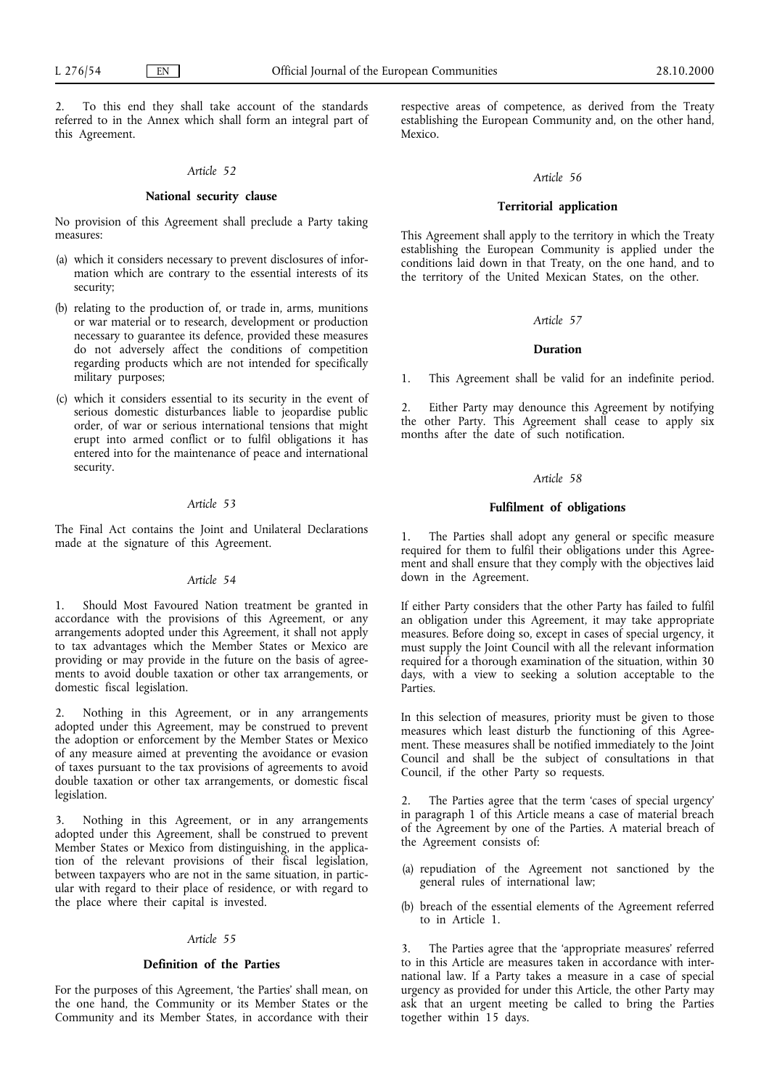2. To this end they shall take account of the standards referred to in the Annex which shall form an integral part of this Agreement.

### *Article 52*

### **National security clause**

No provision of this Agreement shall preclude a Party taking measures:

- (a) which it considers necessary to prevent disclosures of information which are contrary to the essential interests of its security;
- (b) relating to the production of, or trade in, arms, munitions or war material or to research, development or production necessary to guarantee its defence, provided these measures do not adversely affect the conditions of competition regarding products which are not intended for specifically military purposes;
- (c) which it considers essential to its security in the event of serious domestic disturbances liable to jeopardise public order, of war or serious international tensions that might erupt into armed conflict or to fulfil obligations it has entered into for the maintenance of peace and international security.

### *Article 53*

The Final Act contains the Joint and Unilateral Declarations made at the signature of this Agreement.

#### *Article 54*

1. Should Most Favoured Nation treatment be granted in accordance with the provisions of this Agreement, or any arrangements adopted under this Agreement, it shall not apply to tax advantages which the Member States or Mexico are providing or may provide in the future on the basis of agreements to avoid double taxation or other tax arrangements, or domestic fiscal legislation.

2. Nothing in this Agreement, or in any arrangements adopted under this Agreement, may be construed to prevent the adoption or enforcement by the Member States or Mexico of any measure aimed at preventing the avoidance or evasion of taxes pursuant to the tax provisions of agreements to avoid double taxation or other tax arrangements, or domestic fiscal legislation.

3. Nothing in this Agreement, or in any arrangements adopted under this Agreement, shall be construed to prevent Member States or Mexico from distinguishing, in the application of the relevant provisions of their fiscal legislation, between taxpayers who are not in the same situation, in particular with regard to their place of residence, or with regard to the place where their capital is invested.

### *Article 55*

#### **Definition of the Parties**

For the purposes of this Agreement, 'the Parties' shall mean, on the one hand, the Community or its Member States or the Community and its Member States, in accordance with their

respective areas of competence, as derived from the Treaty establishing the European Community and, on the other hand, Mexico.

### *Article 56*

### **Territorial application**

This Agreement shall apply to the territory in which the Treaty establishing the European Community is applied under the conditions laid down in that Treaty, on the one hand, and to the territory of the United Mexican States, on the other.

#### *Article 57*

### **Duration**

1. This Agreement shall be valid for an indefinite period.

2. Either Party may denounce this Agreement by notifying the other Party. This Agreement shall cease to apply six months after the date of such notification.

#### *Article 58*

#### **Fulfilment of obligations**

1. The Parties shall adopt any general or specific measure required for them to fulfil their obligations under this Agreement and shall ensure that they comply with the objectives laid down in the Agreement.

If either Party considers that the other Party has failed to fulfil an obligation under this Agreement, it may take appropriate measures. Before doing so, except in cases of special urgency, it must supply the Joint Council with all the relevant information required for a thorough examination of the situation, within 30 days, with a view to seeking a solution acceptable to the Parties.

In this selection of measures, priority must be given to those measures which least disturb the functioning of this Agreement. These measures shall be notified immediately to the Joint Council and shall be the subject of consultations in that Council, if the other Party so requests.

The Parties agree that the term 'cases of special urgency' in paragraph 1 of this Article means a case of material breach of the Agreement by one of the Parties. A material breach of the Agreement consists of:

- (a) repudiation of the Agreement not sanctioned by the general rules of international law;
- (b) breach of the essential elements of the Agreement referred to in Article 1.

3. The Parties agree that the 'appropriate measures' referred to in this Article are measures taken in accordance with international law. If a Party takes a measure in a case of special urgency as provided for under this Article, the other Party may ask that an urgent meeting be called to bring the Parties together within 15 days.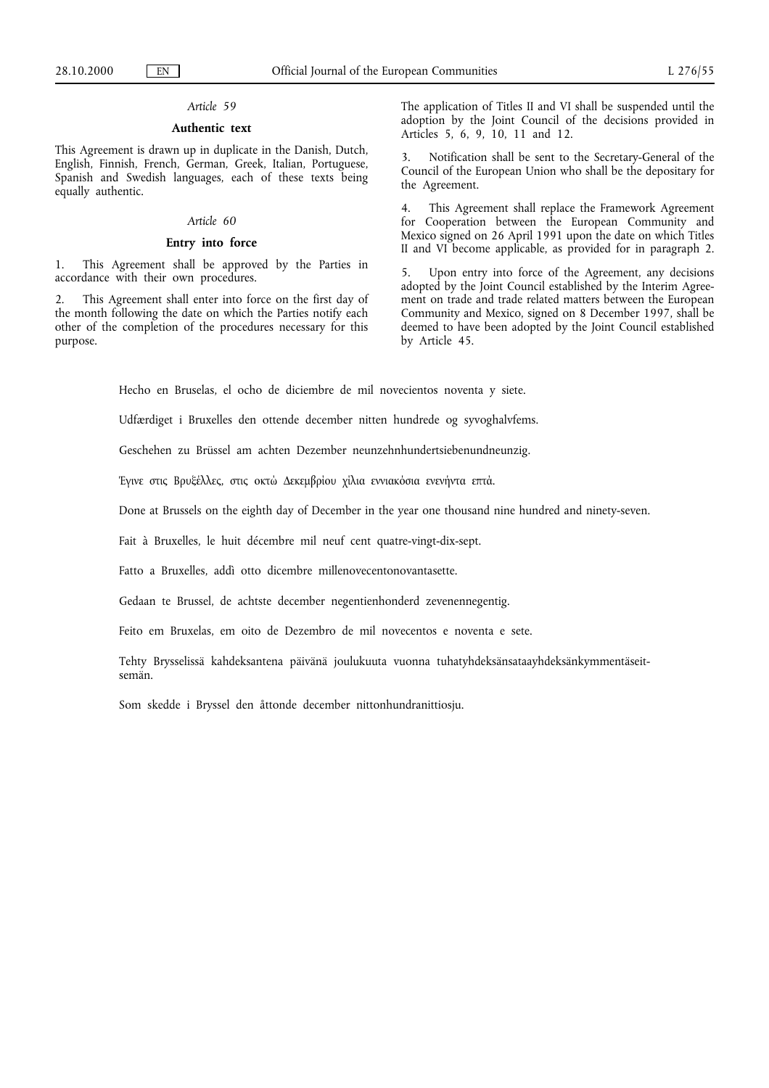### *Article 59*

### **Authentic text**

This Agreement is drawn up in duplicate in the Danish, Dutch, English, Finnish, French, German, Greek, Italian, Portuguese, Spanish and Swedish languages, each of these texts being equally authentic.

#### *Article 60*

#### **Entry into force**

1. This Agreement shall be approved by the Parties in accordance with their own procedures.

2. This Agreement shall enter into force on the first day of the month following the date on which the Parties notify each other of the completion of the procedures necessary for this purpose.

The application of Titles II and VI shall be suspended until the adoption by the Joint Council of the decisions provided in Articles 5, 6, 9, 10, 11 and 12.

3. Notification shall be sent to the Secretary-General of the Council of the European Union who shall be the depositary for the Agreement.

4. This Agreement shall replace the Framework Agreement for Cooperation between the European Community and Mexico signed on 26 April 1991 upon the date on which Titles II and VI become applicable, as provided for in paragraph 2.

5. Upon entry into force of the Agreement, any decisions adopted by the Joint Council established by the Interim Agreement on trade and trade related matters between the European Community and Mexico, signed on 8 December 1997, shall be deemed to have been adopted by the Joint Council established by Article 45.

Hecho en Bruselas, el ocho de diciembre de mil novecientos noventa y siete.

Udfærdiget i Bruxelles den ottende december nitten hundrede og syvoghalvfems.

Geschehen zu Brüssel am achten Dezember neunzehnhundertsiebenundneunzig.

Έγινε στις Βρυξέλλες, στις οκτώ ∆εκεµβρίου χίλια εννιακόσια ενενήντα επτά.

Done at Brussels on the eighth day of December in the year one thousand nine hundred and ninety-seven.

Fait à Bruxelles, le huit décembre mil neuf cent quatre-vingt-dix-sept.

Fatto a Bruxelles, addì otto dicembre millenovecentonovantasette.

Gedaan te Brussel, de achtste december negentienhonderd zevenennegentig.

Feito em Bruxelas, em oito de Dezembro de mil novecentos e noventa e sete.

Tehty Brysselissä kahdeksantena päivänä joulukuuta vuonna tuhatyhdeksänsataayhdeksänkymmentäseitsemän.

Som skedde i Bryssel den åttonde december nittonhundranittiosju.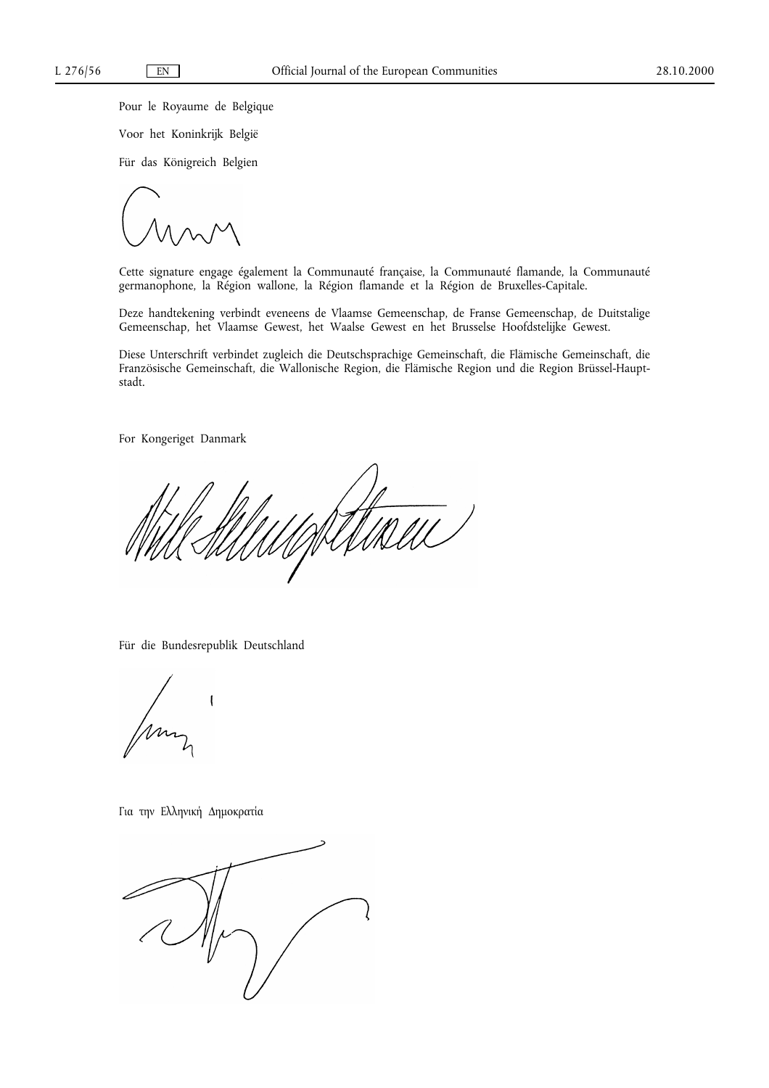Pour le Royaume de Belgique Voor het Koninkrijk België Für das Königreich Belgien

Cette signature engage également la Communauté française, la Communauté flamande, la Communauté germanophone, la Région wallone, la Région flamande et la Région de Bruxelles-Capitale.

Deze handtekening verbindt eveneens de Vlaamse Gemeenschap, de Franse Gemeenschap, de Duitstalige Gemeenschap, het Vlaamse Gewest, het Waalse Gewest en het Brusselse Hoofdstelijke Gewest.

Diese Unterschrift verbindet zugleich die Deutschsprachige Gemeinschaft, die Flämische Gemeinschaft, die Französische Gemeinschaft, die Wallonische Region, die Flämische Region und die Region Brüssel-Hauptstadt.

For Kongeriget Danmark

than

Für die Bundesrepublik Deutschland

 $\mathbf{I}$ 

Για την Ελληνική ∆ηµοκρατία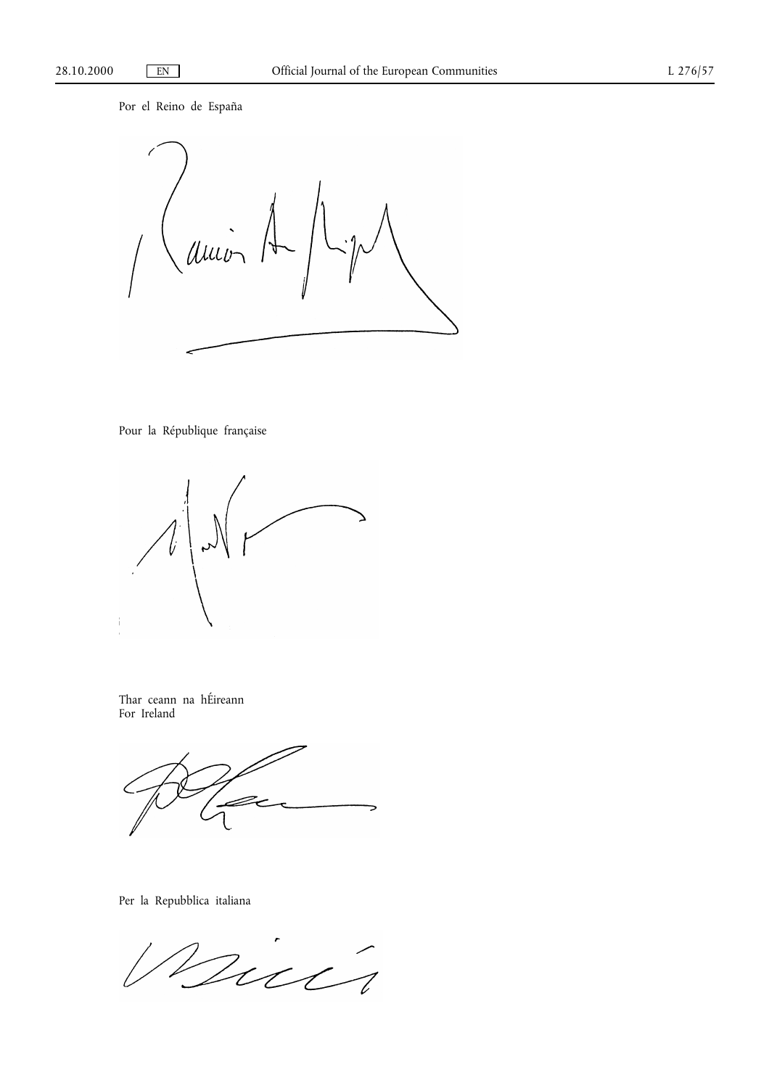Por el Reino de España



# Pour la République française

 $\leq$  $\sqrt{\frac{1}{4}}$ 

Thar ceann na hÉireann For Ireland

Z

Per la Repubblica italiana

Mici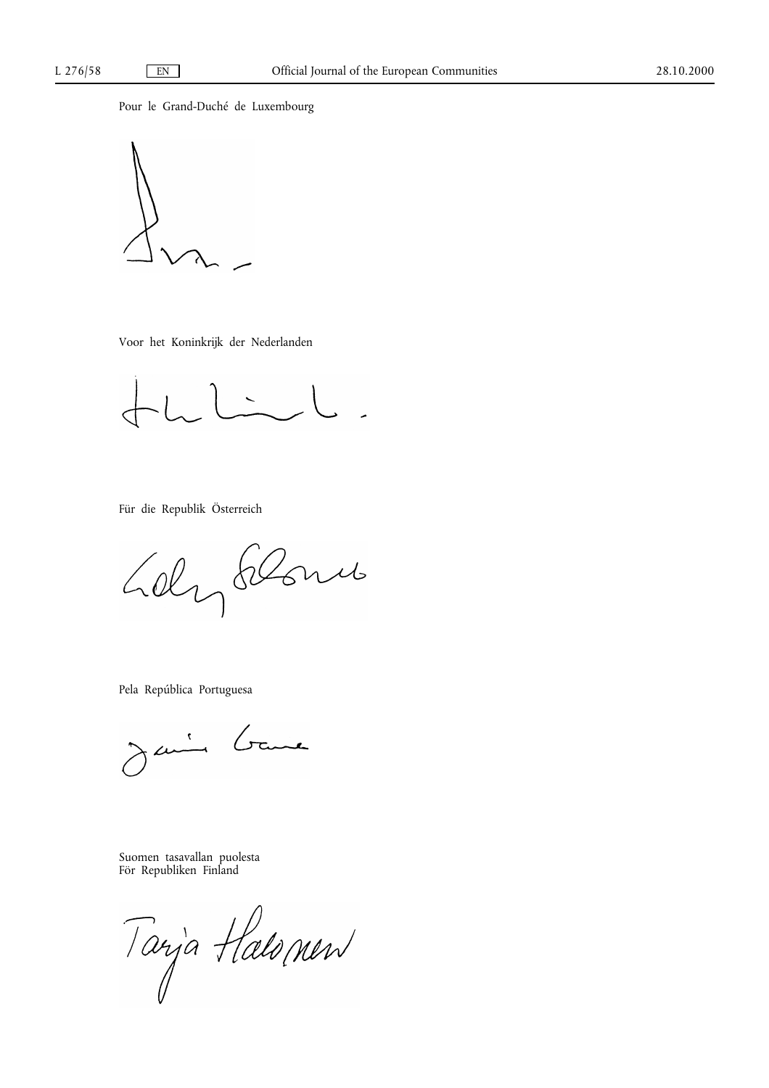Pour le Grand-Duché de Luxembourg



Voor het Koninkrijk der Nederlanden

Für die Republik Österreich

Loly Elsnis

Pela República Portuguesa

 $rac{1}{\sqrt{2\cdot\frac{1}{2}}\cdot\frac{1}{2}}$ Cane

Suomen tasavallan puolesta För Republiken Finland

Tarja Halomen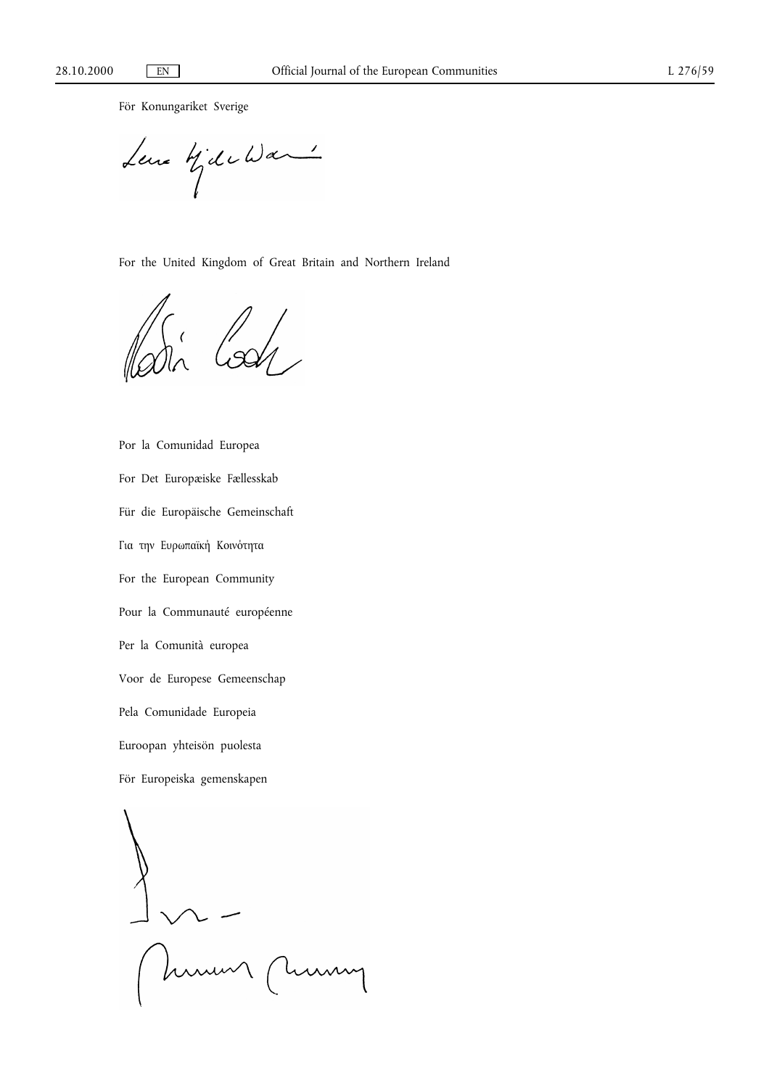För Konungariket Sverige

Leur Mide War

For the United Kingdom of Great Britain and Northern Ireland

 $\frac{1}{2}$ 

Por la Comunidad Europea For Det Europæiske Fællesskab Für die Europäische Gemeinschaft Για την Ευρωπαϊκή Κοινότητα For the European Community Pour la Communauté européenne Per la Comunità europea Voor de Europese Gemeenschap Pela Comunidade Europeia Euroopan yhteisön puolesta För Europeiska gemenskapen

Mumm (mummy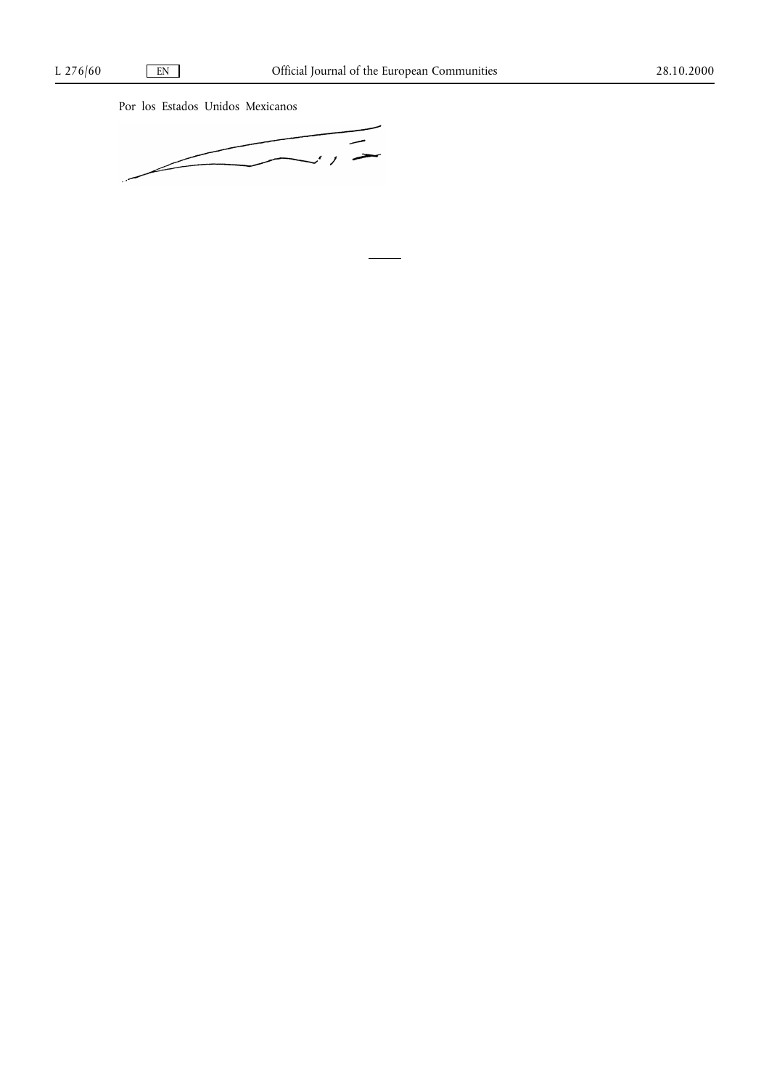Por los Estados Unidos Mexicanos

 $\overline{\phantom{a}}$ j.  $\overline{1}$  $\overline{\phantom{a}}$ ∠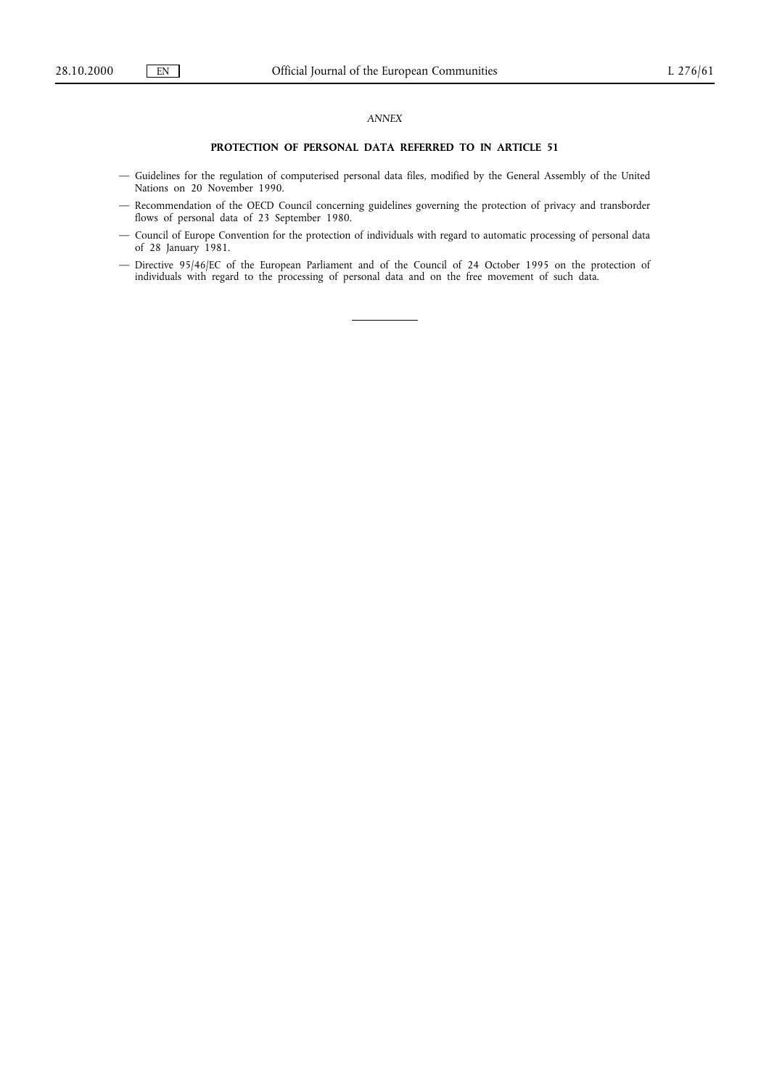# *ANNEX*

# **PROTECTION OF PERSONAL DATA REFERRED TO IN ARTICLE 51**

- Guidelines for the regulation of computerised personal data files, modified by the General Assembly of the United Nations on 20 November 1990.
- Recommendation of the OECD Council concerning guidelines governing the protection of privacy and transborder flows of personal data of 23 September 1980.
- Council of Europe Convention for the protection of individuals with regard to automatic processing of personal data of 28 January 1981.
- Directive 95/46/EC of the European Parliament and of the Council of 24 October 1995 on the protection of individuals with regard to the processing of personal data and on the free movement of such data.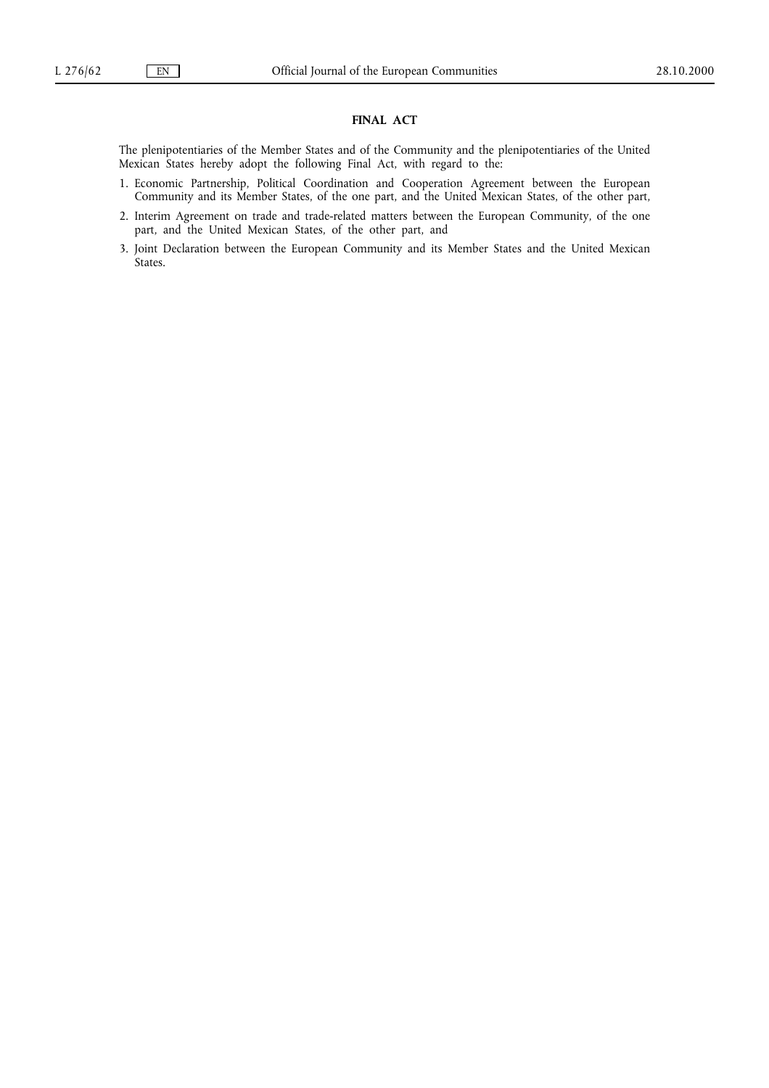# **FINAL ACT**

The plenipotentiaries of the Member States and of the Community and the plenipotentiaries of the United Mexican States hereby adopt the following Final Act, with regard to the:

- 1. Economic Partnership, Political Coordination and Cooperation Agreement between the European Community and its Member States, of the one part, and the United Mexican States, of the other part,
- 2. Interim Agreement on trade and trade-related matters between the European Community, of the one part, and the United Mexican States, of the other part, and
- 3. Joint Declaration between the European Community and its Member States and the United Mexican States.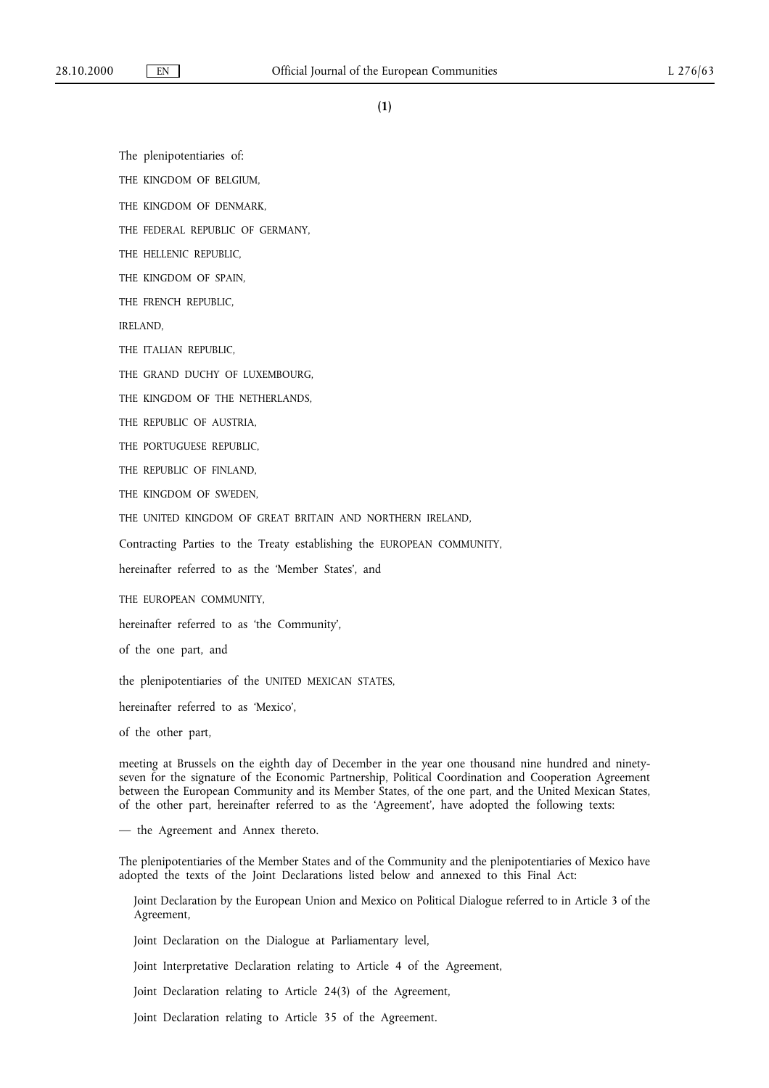**(1)**

The plenipotentiaries of:

THE KINGDOM OF BELGIUM,

- THE KINGDOM OF DENMARK,
- THE FEDERAL REPUBLIC OF GERMANY,

THE HELLENIC REPUBLIC,

THE KINGDOM OF SPAIN,

THE FRENCH REPUBLIC,

IRELAND,

- THE ITALIAN REPUBLIC,
- THE GRAND DUCHY OF LUXEMBOURG,
- THE KINGDOM OF THE NETHERLANDS,
- THE REPUBLIC OF AUSTRIA,
- THE PORTUGUESE REPUBLIC,
- THE REPUBLIC OF FINLAND,
- THE KINGDOM OF SWEDEN,
- THE UNITED KINGDOM OF GREAT BRITAIN AND NORTHERN IRELAND,
- Contracting Parties to the Treaty establishing the EUROPEAN COMMUNITY,
- hereinafter referred to as the 'Member States', and
- THE EUROPEAN COMMUNITY,
- hereinafter referred to as 'the Community',

of the one part, and

the plenipotentiaries of the UNITED MEXICAN STATES,

hereinafter referred to as 'Mexico',

of the other part,

meeting at Brussels on the eighth day of December in the year one thousand nine hundred and ninetyseven for the signature of the Economic Partnership, Political Coordination and Cooperation Agreement between the European Community and its Member States, of the one part, and the United Mexican States, of the other part, hereinafter referred to as the 'Agreement', have adopted the following texts:

— the Agreement and Annex thereto.

The plenipotentiaries of the Member States and of the Community and the plenipotentiaries of Mexico have adopted the texts of the Joint Declarations listed below and annexed to this Final Act:

Joint Declaration by the European Union and Mexico on Political Dialogue referred to in Article 3 of the Agreement,

- Joint Declaration on the Dialogue at Parliamentary level,
- Joint Interpretative Declaration relating to Article 4 of the Agreement,
- Joint Declaration relating to Article 24(3) of the Agreement,
- Joint Declaration relating to Article 35 of the Agreement.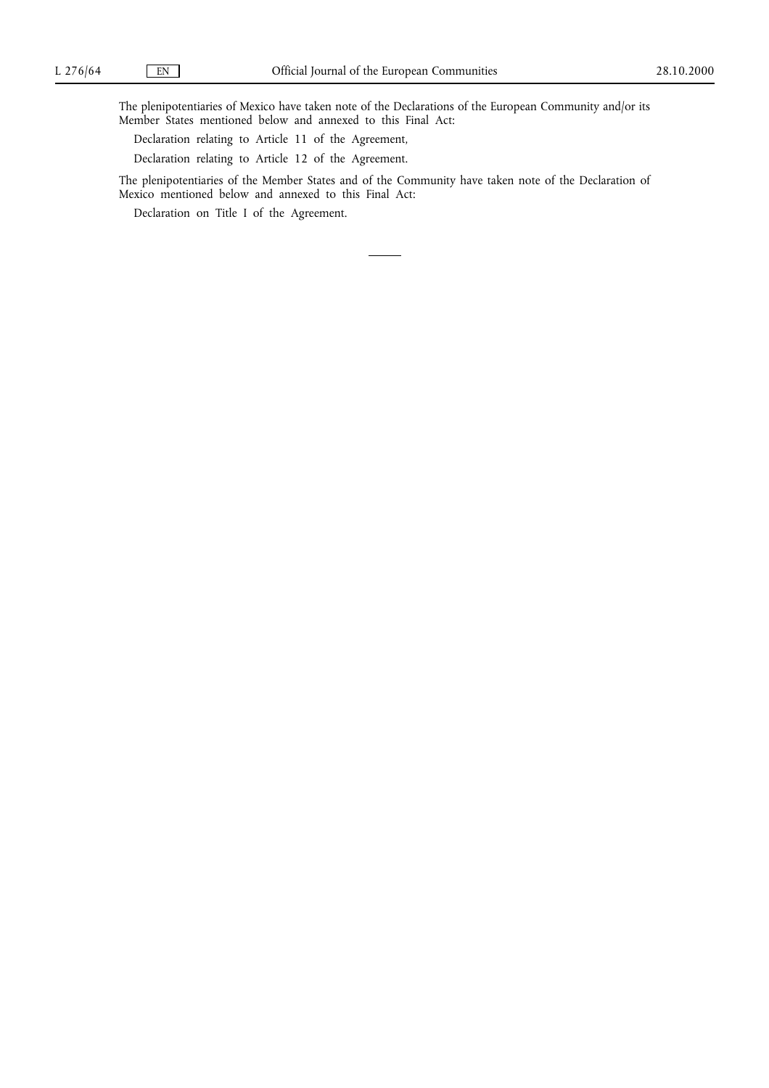The plenipotentiaries of Mexico have taken note of the Declarations of the European Community and/or its Member States mentioned below and annexed to this Final Act:

Declaration relating to Article 11 of the Agreement,

Declaration relating to Article 12 of the Agreement.

The plenipotentiaries of the Member States and of the Community have taken note of the Declaration of Mexico mentioned below and annexed to this Final Act:

Declaration on Title I of the Agreement.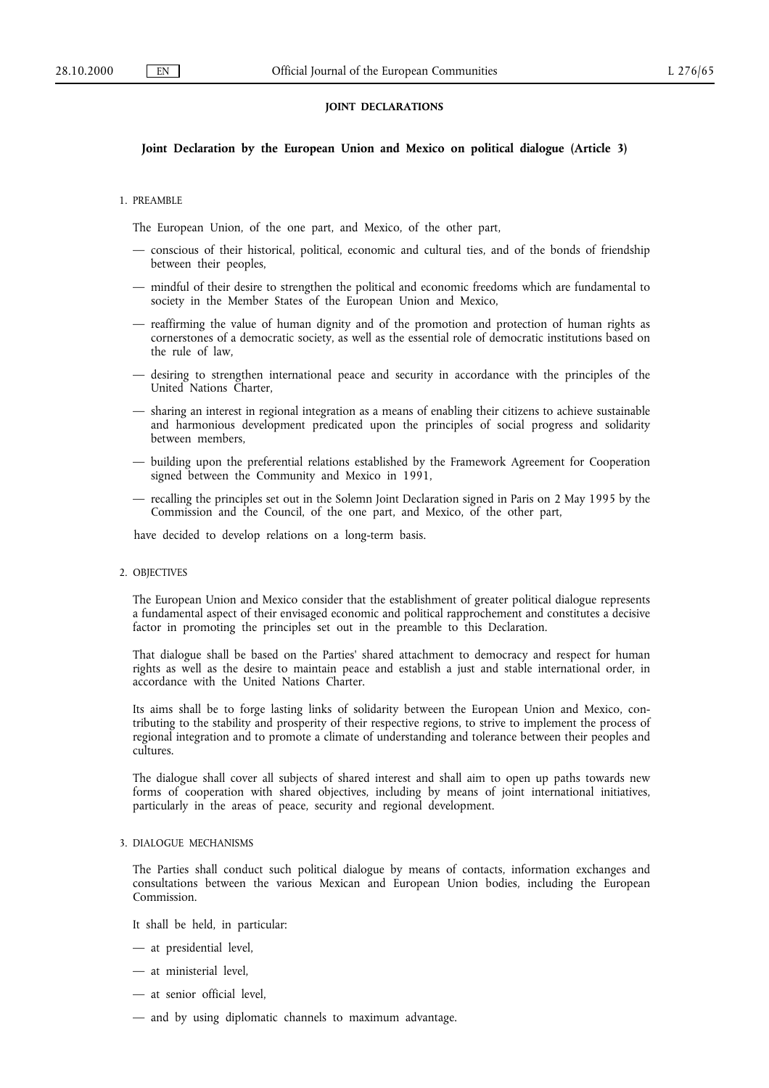### **JOINT DECLARATIONS**

#### Joint Declaration by the European Union and Mexico on political dialogue (Article 3)

#### 1. PREAMBLE

The European Union, of the one part, and Mexico, of the other part,

- conscious of their historical, political, economic and cultural ties, and of the bonds of friendship between their peoples,
- mindful of their desire to strengthen the political and economic freedoms which are fundamental to society in the Member States of the European Union and Mexico,
- reaffirming the value of human dignity and of the promotion and protection of human rights as cornerstones of a democratic society, as well as the essential role of democratic institutions based on the rule of law,
- desiring to strengthen international peace and security in accordance with the principles of the United Nations Charter,
- sharing an interest in regional integration as a means of enabling their citizens to achieve sustainable and harmonious development predicated upon the principles of social progress and solidarity between members,
- building upon the preferential relations established by the Framework Agreement for Cooperation signed between the Community and Mexico in 1991,
- recalling the principles set out in the Solemn Joint Declaration signed in Paris on 2 May 1995 by the Commission and the Council, of the one part, and Mexico, of the other part,

have decided to develop relations on a long-term basis.

2. OBJECTIVES

The European Union and Mexico consider that the establishment of greater political dialogue represents a fundamental aspect of their envisaged economic and political rapprochement and constitutes a decisive factor in promoting the principles set out in the preamble to this Declaration.

That dialogue shall be based on the Parties' shared attachment to democracy and respect for human rights as well as the desire to maintain peace and establish a just and stable international order, in accordance with the United Nations Charter.

Its aims shall be to forge lasting links of solidarity between the European Union and Mexico, contributing to the stability and prosperity of their respective regions, to strive to implement the process of regional integration and to promote a climate of understanding and tolerance between their peoples and cultures.

The dialogue shall cover all subjects of shared interest and shall aim to open up paths towards new forms of cooperation with shared objectives, including by means of joint international initiatives, particularly in the areas of peace, security and regional development.

### 3. DIALOGUE MECHANISMS

The Parties shall conduct such political dialogue by means of contacts, information exchanges and consultations between the various Mexican and European Union bodies, including the European Commission.

It shall be held, in particular:

- at presidential level,
- at ministerial level,
- at senior official level,
- and by using diplomatic channels to maximum advantage.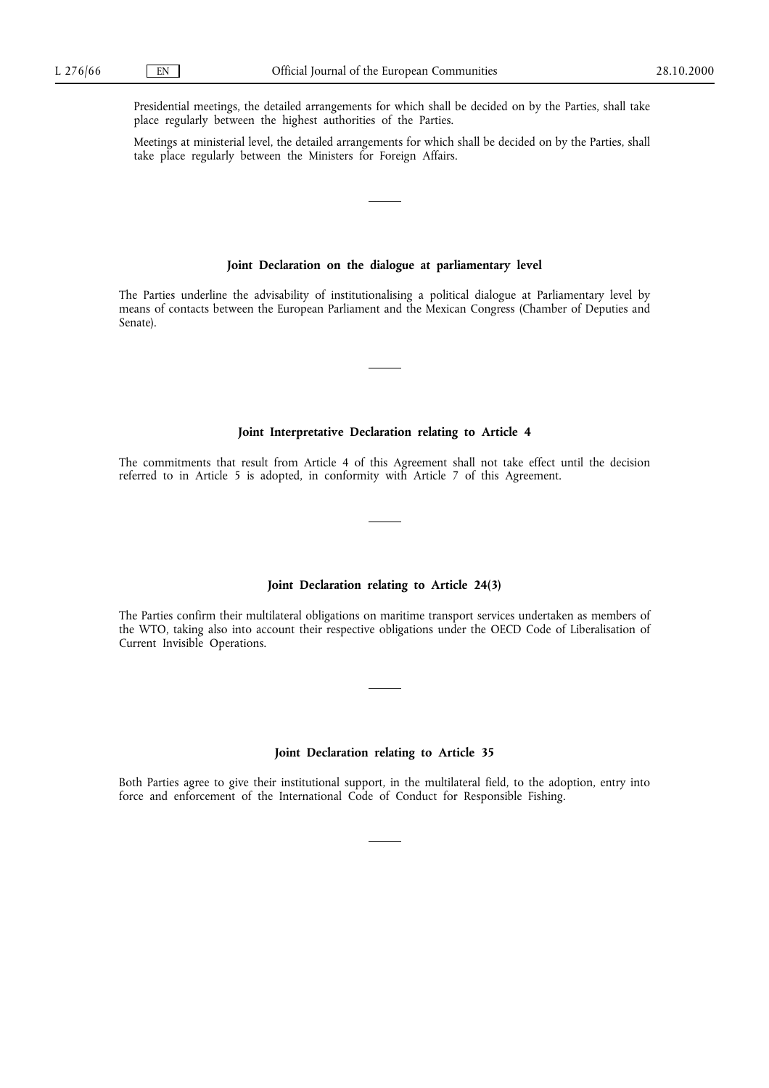Presidential meetings, the detailed arrangements for which shall be decided on by the Parties, shall take place regularly between the highest authorities of the Parties.

Meetings at ministerial level, the detailed arrangements for which shall be decided on by the Parties, shall take place regularly between the Ministers for Foreign Affairs.

### **Joint Declaration on the dialogue at parliamentary level**

The Parties underline the advisability of institutionalising a political dialogue at Parliamentary level by means of contacts between the European Parliament and the Mexican Congress (Chamber of Deputies and Senate).

# **Joint Interpretative Declaration relating to Article 4**

The commitments that result from Article 4 of this Agreement shall not take effect until the decision referred to in Article 5 is adopted, in conformity with Article 7 of this Agreement.

### **Joint Declaration relating to Article 24(3)**

The Parties confirm their multilateral obligations on maritime transport services undertaken as members of the WTO, taking also into account their respective obligations under the OECD Code of Liberalisation of Current Invisible Operations.

### **Joint Declaration relating to Article 35**

Both Parties agree to give their institutional support, in the multilateral field, to the adoption, entry into force and enforcement of the International Code of Conduct for Responsible Fishing.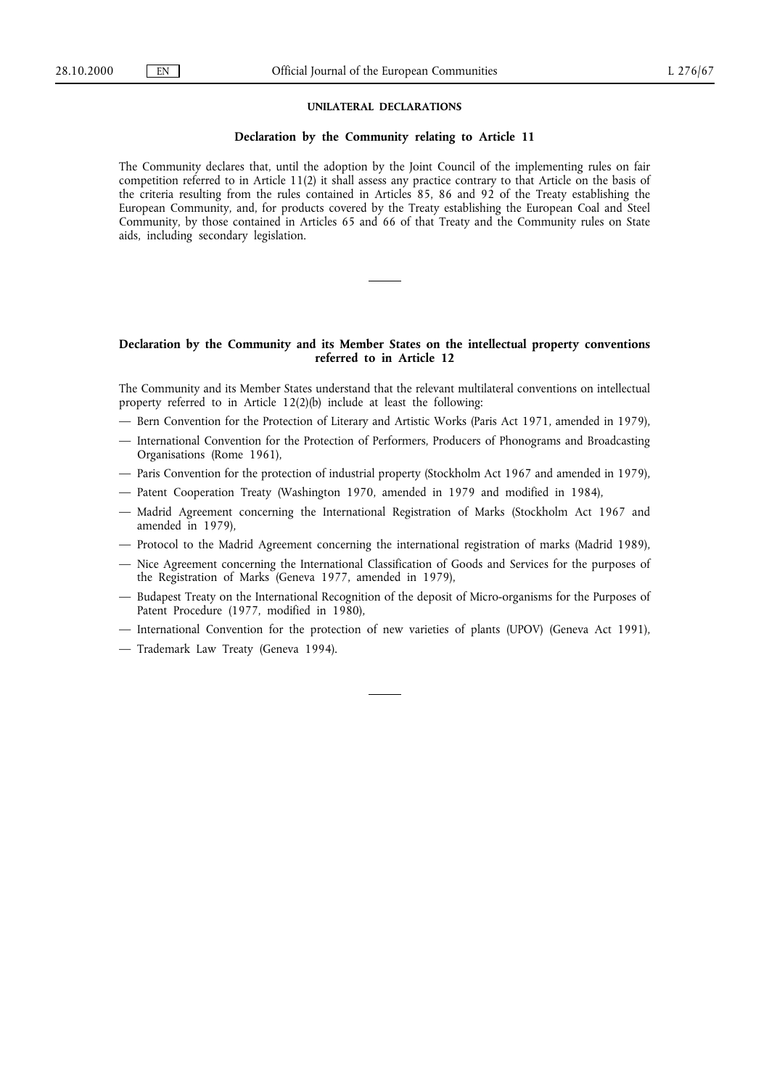# **UNILATERAL DECLARATIONS**

#### **Declaration by the Community relating to Article 11**

The Community declares that, until the adoption by the Joint Council of the implementing rules on fair competition referred to in Article 11(2) it shall assess any practice contrary to that Article on the basis of the criteria resulting from the rules contained in Articles 85, 86 and 92 of the Treaty establishing the European Community, and, for products covered by the Treaty establishing the European Coal and Steel Community, by those contained in Articles 65 and 66 of that Treaty and the Community rules on State aids, including secondary legislation.

### **Declaration by the Community andits Member States on the intellectual property conventions** referred to in Article 12

The Community and its Member States understand that the relevant multilateral conventions on intellectual property referred to in Article 12(2)(b) include at least the following:

- Bern Convention for the Protection of Literary and Artistic Works (Paris Act 1971, amended in 1979),
- International Convention for the Protection of Performers, Producers of Phonograms and Broadcasting Organisations (Rome 1961),
- Paris Convention for the protection of industrial property (Stockholm Act 1967 and amended in 1979),
- Patent Cooperation Treaty (Washington 1970, amended in 1979 and modified in 1984),
- Madrid Agreement concerning the International Registration of Marks (Stockholm Act 1967 and amended in 1979),
- Protocol to the Madrid Agreement concerning the international registration of marks (Madrid 1989),
- Nice Agreement concerning the International Classification of Goods and Services for the purposes of the Registration of Marks (Geneva 1977, amended in 1979),
- Budapest Treaty on the International Recognition of the deposit of Micro-organisms for the Purposes of Patent Procedure (1977, modified in 1980),
- International Convention for the protection of new varieties of plants (UPOV) (Geneva Act 1991),
- Trademark Law Treaty (Geneva 1994).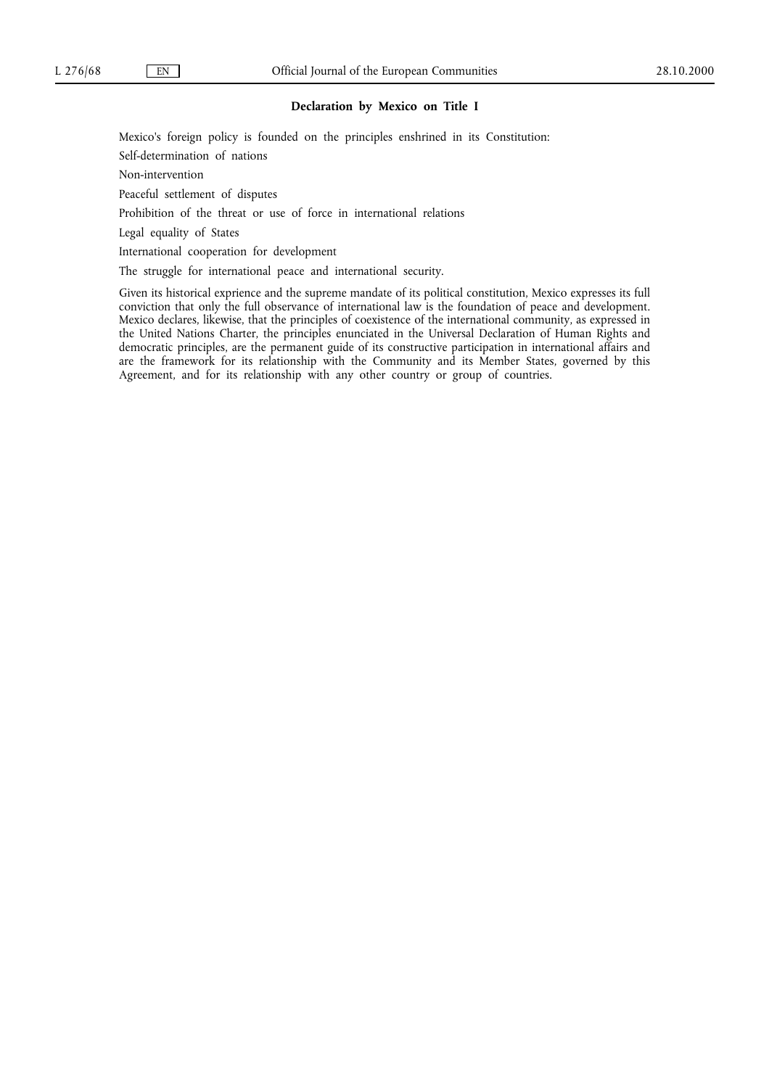# **Declaration by Mexico on Title I**

Mexico's foreign policy is founded on the principles enshrined in its Constitution:

Self-determination of nations

Non-intervention

Peaceful settlement of disputes

Prohibition of the threat or use of force in international relations

Legal equality of States

International cooperation for development

The struggle for international peace and international security.

Given its historical exprience and the supreme mandate of its political constitution, Mexico expresses its full conviction that only the full observance of international law is the foundation of peace and development. Mexico declares, likewise, that the principles of coexistence of the international community, as expressed in the United Nations Charter, the principles enunciated in the Universal Declaration of Human Rights and democratic principles, are the permanent guide of its constructive participation in international affairs and are the framework for its relationship with the Community and its Member States, governed by this Agreement, and for its relationship with any other country or group of countries.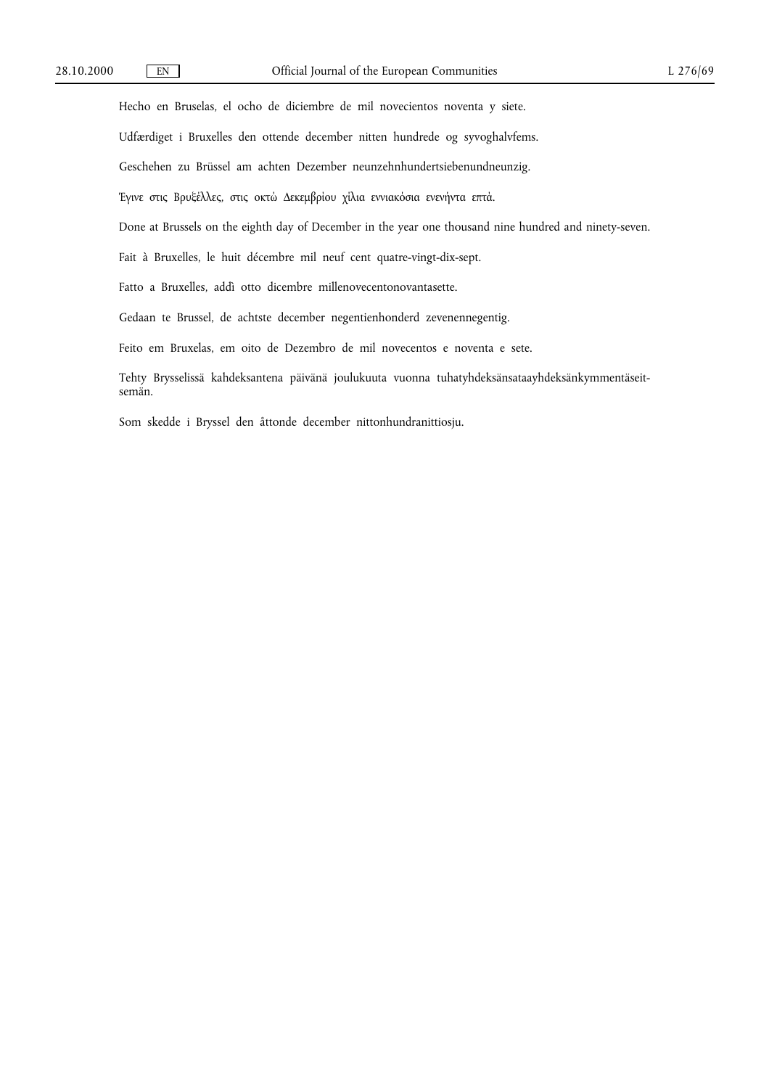Hecho en Bruselas, el ocho de diciembre de mil novecientos noventa y siete. Udfærdiget i Bruxelles den ottende december nitten hundrede og syvoghalvfems. Geschehen zu Brüssel am achten Dezember neunzehnhundertsiebenundneunzig. Έγινε στις Βρυξέλλες, στις οκτώ ∆εκεµβρίου χίλια εννιακόσια ενενήντα επτά. Done at Brussels on the eighth day of December in the year one thousand nine hundred and ninety-seven. Fait à Bruxelles, le huit décembre mil neuf cent quatre-vingt-dix-sept. Fatto a Bruxelles, addì otto dicembre millenovecentonovantasette. Gedaan te Brussel, de achtste december negentienhonderd zevenennegentig. Feito em Bruxelas, em oito de Dezembro de mil novecentos e noventa e sete. Tehty Brysselissä kahdeksantena päivänä joulukuuta vuonna tuhatyhdeksänsataayhdeksänkymmentäseitsemän.

Som skedde i Bryssel den åttonde december nittonhundranittiosju.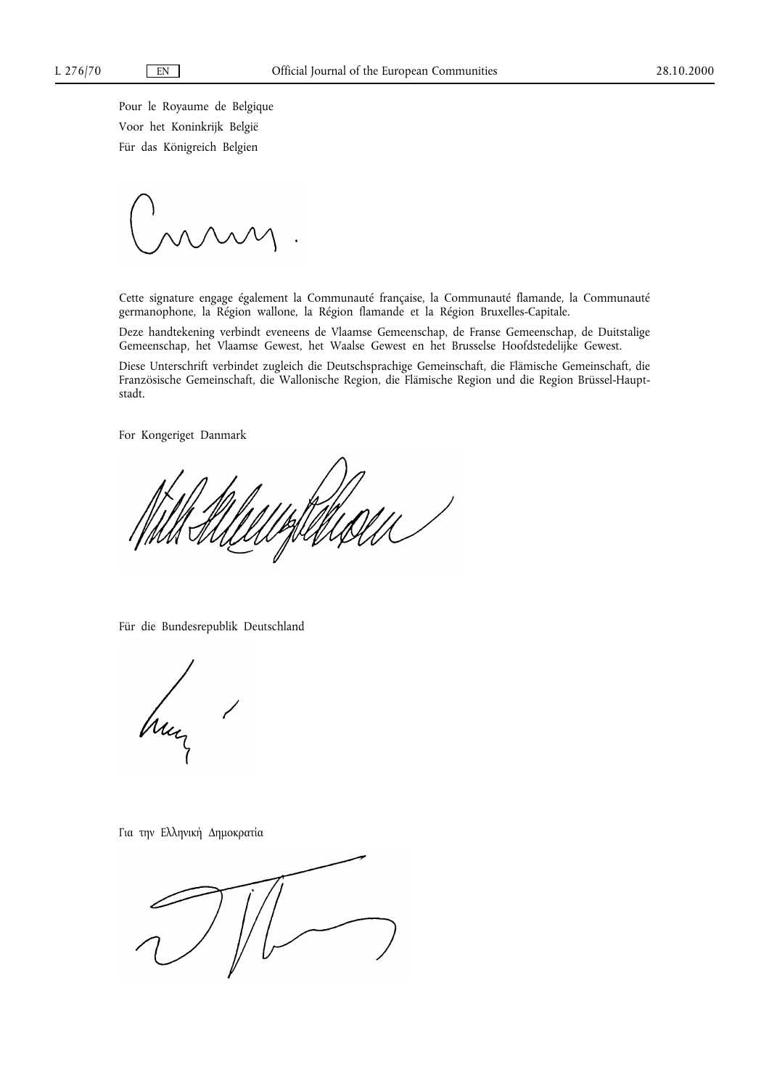Pour le Royaume de Belgique Voor het Koninkrijk België Für das Königreich Belgien

Cette signature engage également la Communauté française, la Communauté flamande, la Communauté germanophone, la Région wallone, la Région flamande et la Région Bruxelles-Capitale.

Deze handtekening verbindt eveneens de Vlaamse Gemeenschap, de Franse Gemeenschap, de Duitstalige Gemeenschap, het Vlaamse Gewest, het Waalse Gewest en het Brusselse Hoofdstedelijke Gewest.

Diese Unterschrift verbindet zugleich die Deutschsprachige Gemeinschaft, die Flämische Gemeinschaft, die Französische Gemeinschaft, die Wallonische Region, die Flämische Region und die Region Brüssel-Hauptstadt.

For Kongeriget Danmark

Für die Bundesrepublik Deutschland

hun 1

Για την Ελληνική ∆ηµοκρατία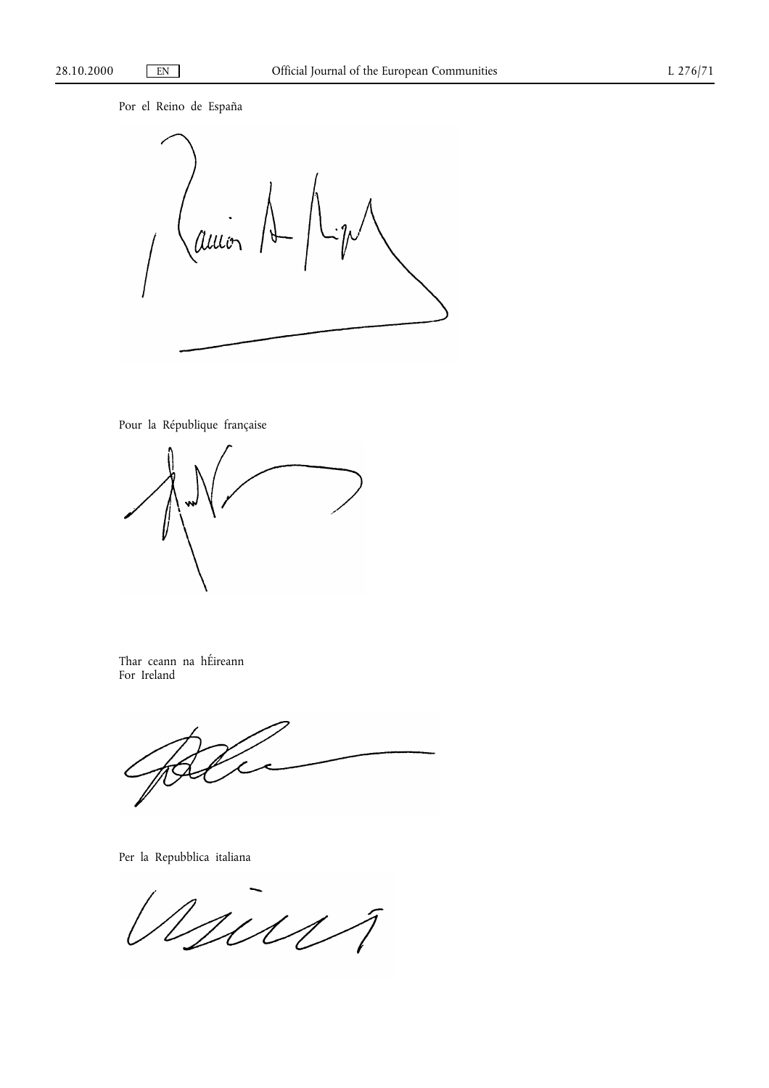Por el Reino de España



# Pour la République française

Thar ceann na hÉireann For Ireland

Per la Repubblica italiana

Will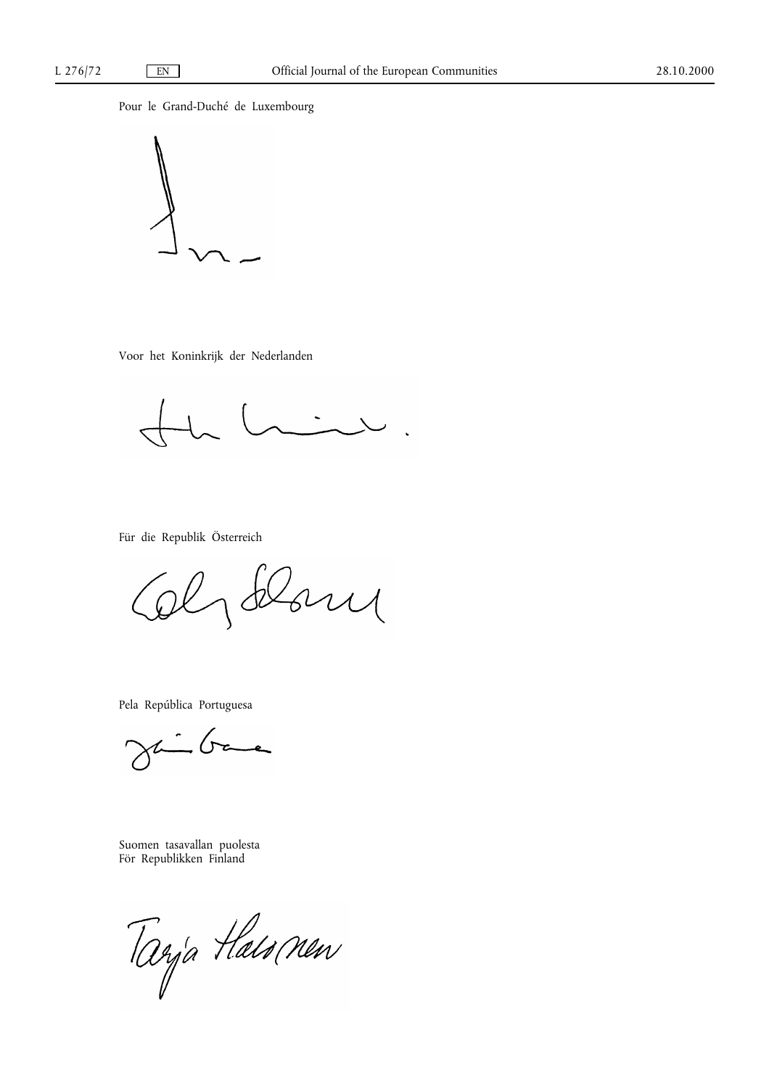$\ddot{\phantom{0}}$ 

Pour le Grand-Duché de Luxembourg



Voor het Koninkrijk der Nederlanden

 $\overbrace{\phantom{a}}^{\phantom{a}}$ 

Für die Republik Österreich

Deny

Pela República Portuguesa

juin bane

Suomen tasavallan puolesta För Republikken Finland

Tarja Haismen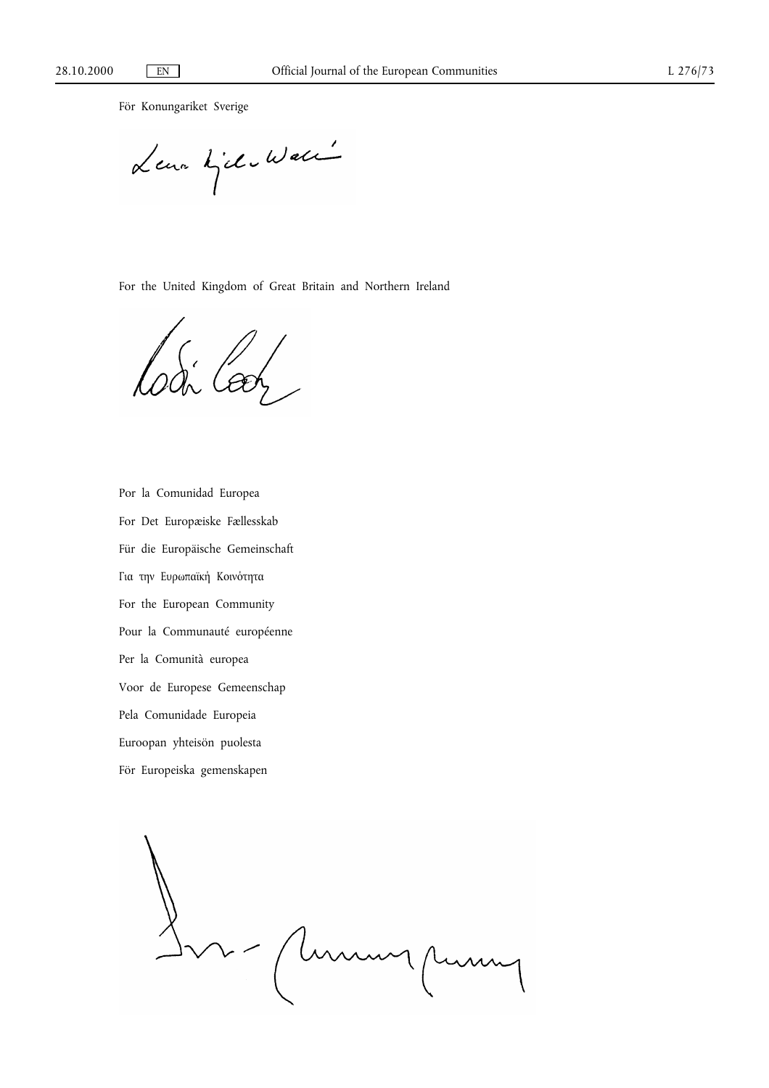För Konungariket Sverige

Leur Killewall

For the United Kingdom of Great Britain and Northern Ireland

Lodi Cool

Por la Comunidad Europea For Det Europæiske Fællesskab Für die Europäische Gemeinschaft Για την Ευρωπαϊκή Κοινότητα For the European Community Pour la Communauté européenne Per la Comunità europea Voor de Europese Gemeenschap Pela Comunidade Europeia Euroopan yhteisön puolesta För Europeiska gemenskapen

In-Chimingcumy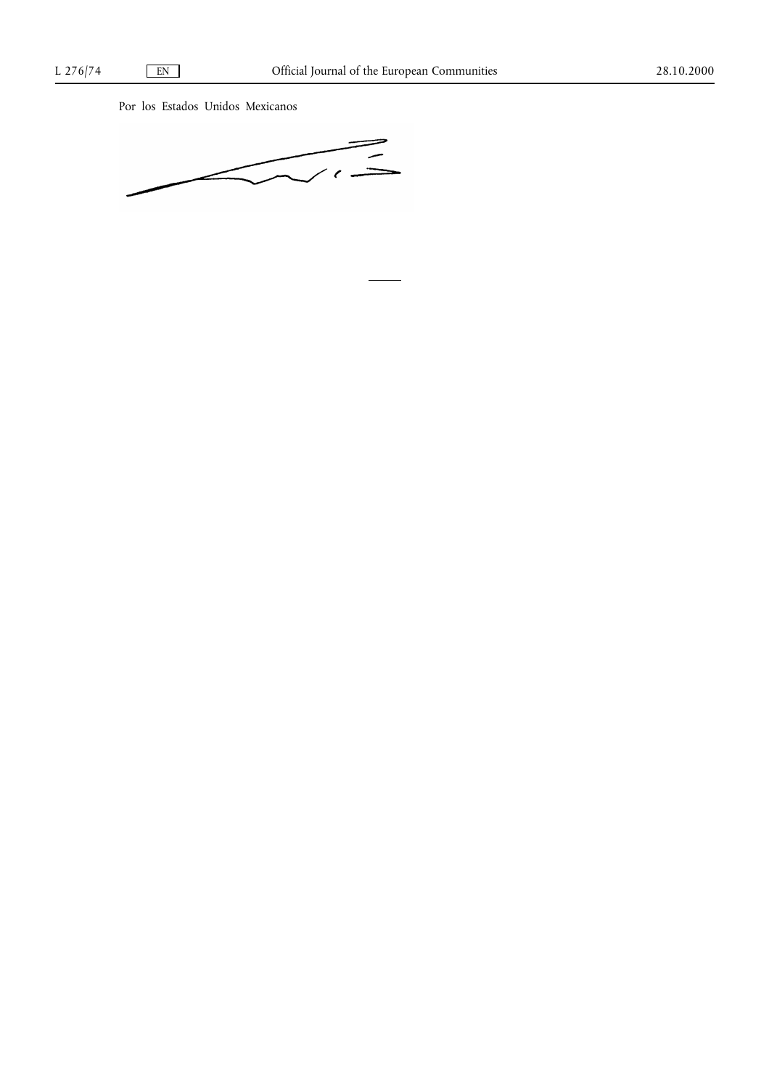Por los Estados Unidos Mexicanos

 $\Rightarrow$  $\overline{\phantom{a}}$  $\overline{\phantom{a}}$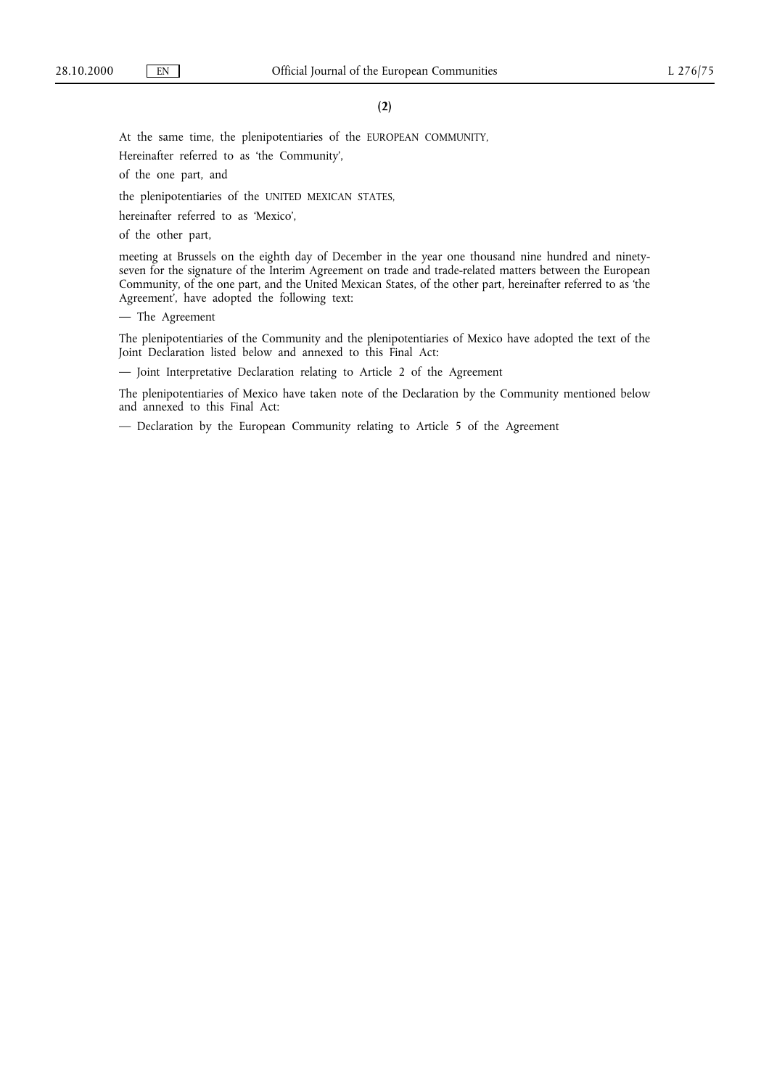At the same time, the plenipotentiaries of the EUROPEAN COMMUNITY,

Hereinafter referred to as 'the Community',

of the one part, and

the plenipotentiaries of the UNITED MEXICAN STATES,

hereinafter referred to as 'Mexico',

of the other part,

meeting at Brussels on the eighth day of December in the year one thousand nine hundred and ninetyseven for the signature of the Interim Agreement on trade and trade-related matters between the European Community, of the one part, and the United Mexican States, of the other part, hereinafter referred to as 'the Agreement', have adopted the following text:

— The Agreement

The plenipotentiaries of the Community and the plenipotentiaries of Mexico have adopted the text of the Joint Declaration listed below and annexed to this Final Act:

— Joint Interpretative Declaration relating to Article 2 of the Agreement

The plenipotentiaries of Mexico have taken note of the Declaration by the Community mentioned below and annexed to this Final Act:

— Declaration by the European Community relating to Article 5 of the Agreement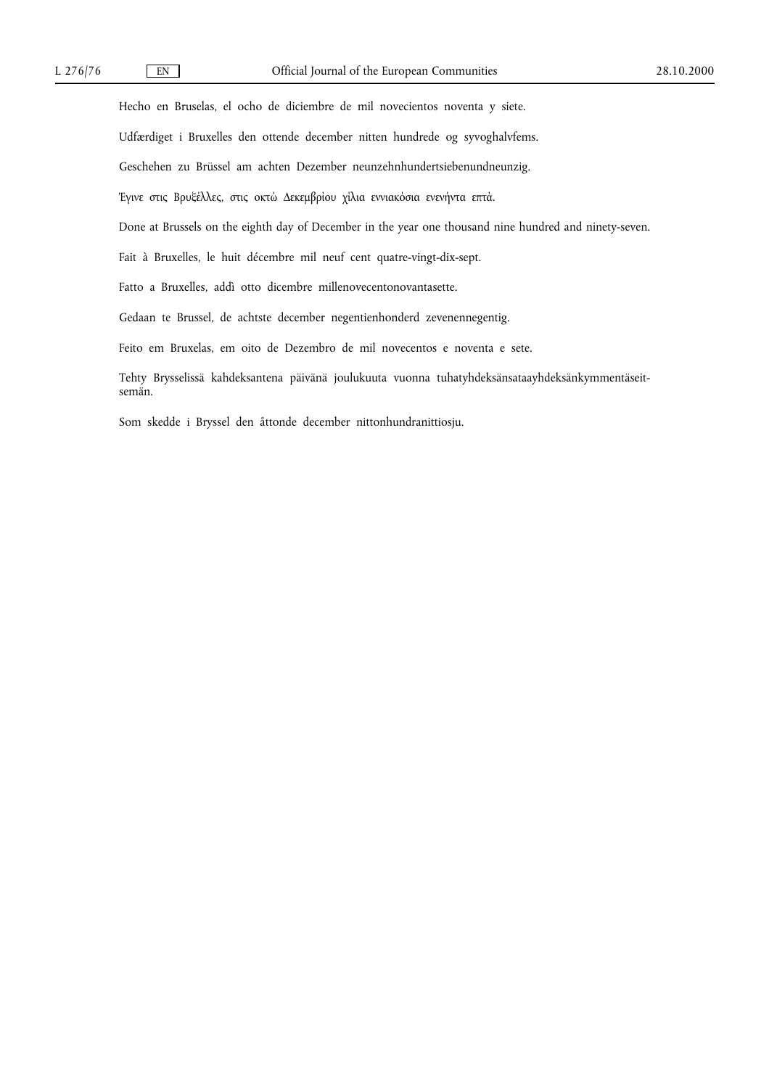Hecho en Bruselas, el ocho de diciembre de mil novecientos noventa y siete. Udfærdiget i Bruxelles den ottende december nitten hundrede og syvoghalvfems. Geschehen zu Brüssel am achten Dezember neunzehnhundertsiebenundneunzig. Έγινε στις Βρυξέλλες, στις οκτώ ∆εκεµβρίου χίλια εννιακόσια ενενήντα επτά. Done at Brussels on the eighth day of December in the year one thousand nine hundred and ninety-seven. Fait à Bruxelles, le huit décembre mil neuf cent quatre-vingt-dix-sept. Fatto a Bruxelles, addì otto dicembre millenovecentonovantasette. Gedaan te Brussel, de achtste december negentienhonderd zevenennegentig. Feito em Bruxelas, em oito de Dezembro de mil novecentos e noventa e sete. Tehty Brysselissä kahdeksantena päivänä joulukuuta vuonna tuhatyhdeksänsataayhdeksänkymmentäseitsemän.

Som skedde i Bryssel den åttonde december nittonhundranittiosju.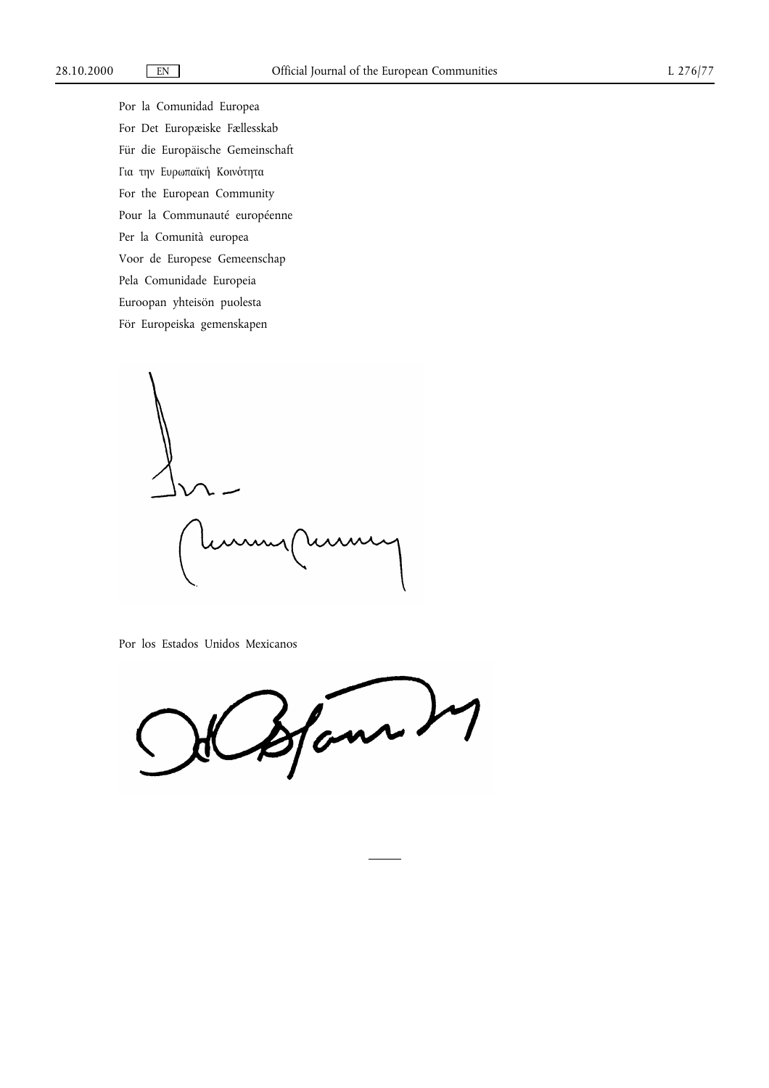Por la Comunidad Europea For Det Europæiske Fællesskab Für die Europäische Gemeinschaft Για την Ευρωπαϊκή Κοινότητα For the European Community Pour la Communauté européenne Per la Comunità europea

Voor de Europese Gemeenschap

Pela Comunidade Europeia

Euroopan yhteisön puolesta

För Europeiska gemenskapen

Por los Estados Unidos Mexicanos

Bfann 27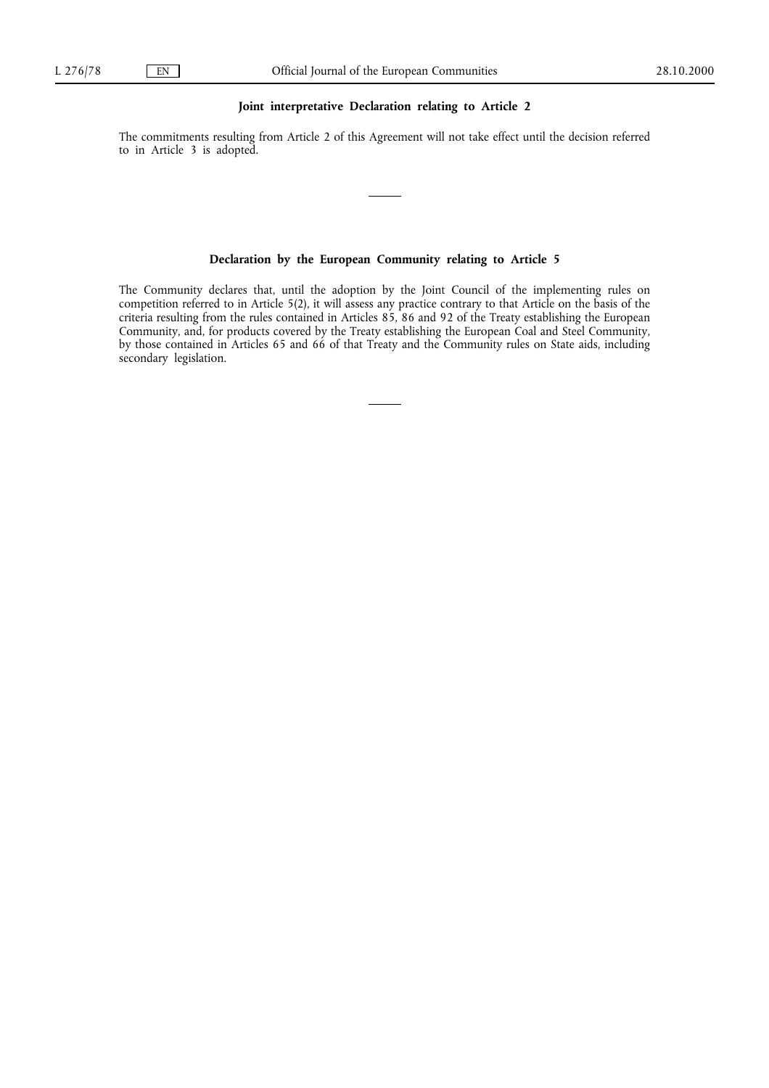# **Joint interpretative Declaration relating to Article 2**

The commitments resulting from Article 2 of this Agreement will not take effect until the decision referred to in Article 3 is adopted.

### **Declaration by the European Community relating to Article 5**

The Community declares that, until the adoption by the Joint Council of the implementing rules on competition referred to in Article 5(2), it will assess any practice contrary to that Article on the basis of the criteria resulting from the rules contained in Articles 85, 86 and 92 of the Treaty establishing the European Community, and, for products covered by the Treaty establishing the European Coal and Steel Community, by those contained in Articles 65 and 66 of that Treaty and the Community rules on State aids, including secondary legislation.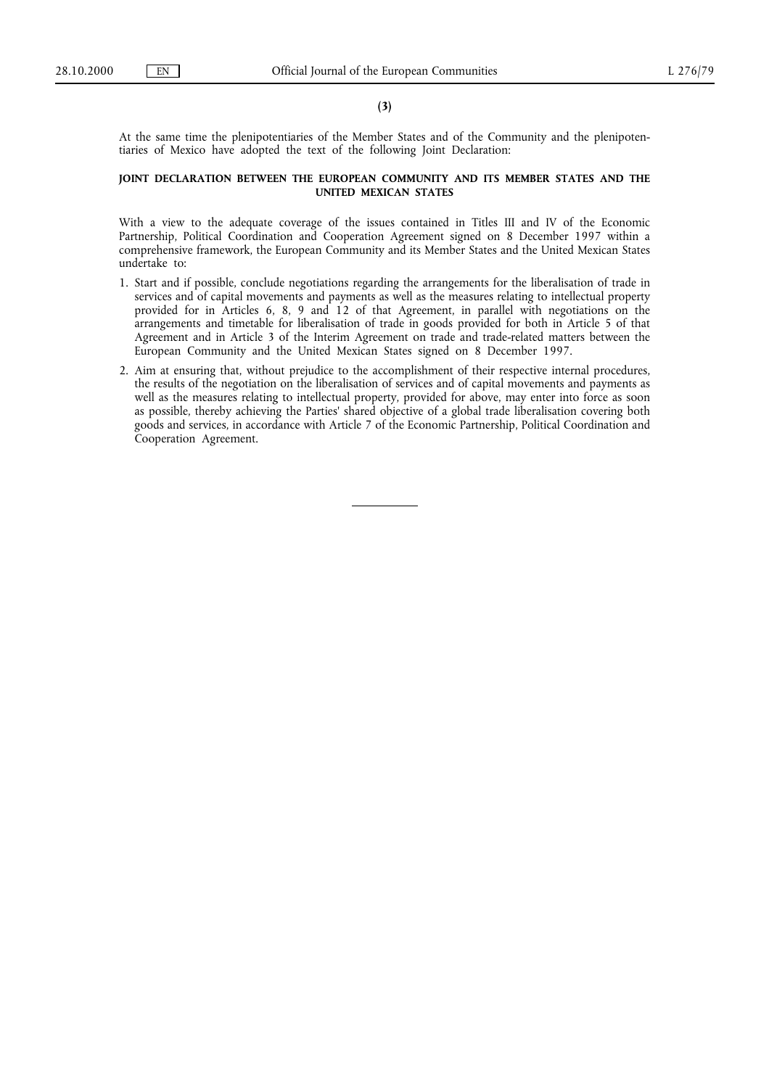### **(3)**

At the same time the plenipotentiaries of the Member States and of the Community and the plenipotentiaries of Mexico have adopted the text of the following Joint Declaration:

### **JOINT DECLARATION BETWEEN THE EUROPEAN COMMUNITY AND ITS MEMBER STATES AND THE UNITED MEXICAN STATES**

With a view to the adequate coverage of the issues contained in Titles III and IV of the Economic Partnership, Political Coordination and Cooperation Agreement signed on 8 December 1997 within a comprehensive framework, the European Community and its Member States and the United Mexican States undertake to:

- 1. Start and if possible, conclude negotiations regarding the arrangements for the liberalisation of trade in services and of capital movements and payments as well as the measures relating to intellectual property provided for in Articles 6, 8, 9 and 12 of that Agreement, in parallel with negotiations on the arrangements and timetable for liberalisation of trade in goods provided for both in Article 5 of that Agreement and in Article 3 of the Interim Agreement on trade and trade-related matters between the European Community and the United Mexican States signed on 8 December 1997.
- 2. Aim at ensuring that, without prejudice to the accomplishment of their respective internal procedures, the results of the negotiation on the liberalisation of services and of capital movements and payments as well as the measures relating to intellectual property, provided for above, may enter into force as soon as possible, thereby achieving the Parties' shared objective of a global trade liberalisation covering both goods and services, in accordance with Article 7 of the Economic Partnership, Political Coordination and Cooperation Agreement.